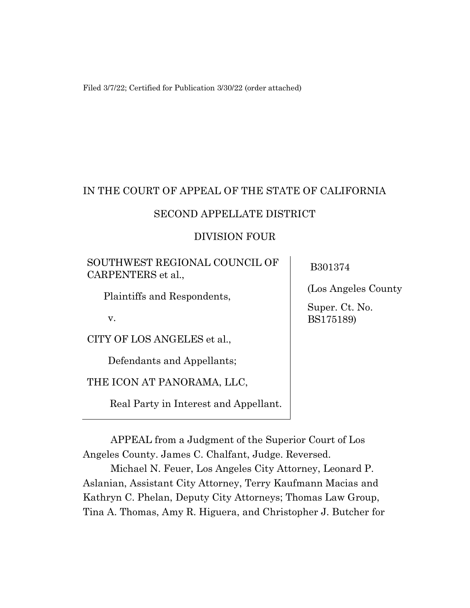Filed 3/7/22; Certified for Publication 3/30/22 (order attached)

### IN THE COURT OF APPEAL OF THE STATE OF CALIFORNIA

#### SECOND APPELLATE DISTRICT

#### DIVISION FOUR

SOUTHWEST REGIONAL COUNCIL OF CARPENTERS et al.,

Plaintiffs and Respondents,

v.

CITY OF LOS ANGELES et al.,

Defendants and Appellants;

THE ICON AT PANORAMA, LLC,

Real Party in Interest and Appellant.

B301374

(Los Angeles County

Super. Ct. No. BS175189)

APPEAL from a Judgment of the Superior Court of Los Angeles County. James C. Chalfant, Judge. Reversed.

Michael N. Feuer, Los Angeles City Attorney, Leonard P. Aslanian, Assistant City Attorney, Terry Kaufmann Macias and Kathryn C. Phelan, Deputy City Attorneys; Thomas Law Group, Tina A. Thomas, Amy R. Higuera, and Christopher J. Butcher for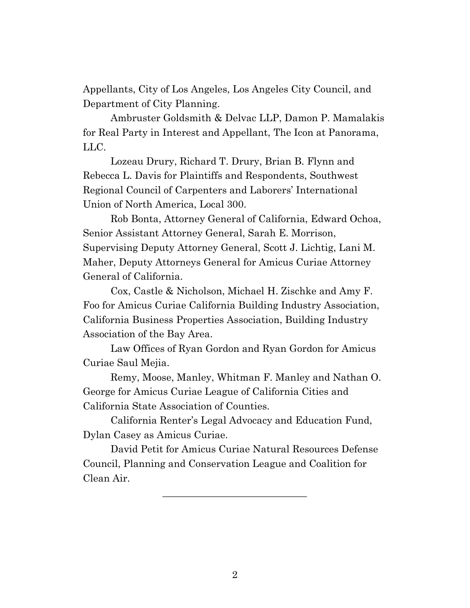Appellants, City of Los Angeles, Los Angeles City Council, and Department of City Planning.

Ambruster Goldsmith & Delvac LLP, Damon P. Mamalakis for Real Party in Interest and Appellant, The Icon at Panorama, LLC.

Lozeau Drury, Richard T. Drury, Brian B. Flynn and Rebecca L. Davis for Plaintiffs and Respondents, Southwest Regional Council of Carpenters and Laborers' International Union of North America, Local 300.

Rob Bonta, Attorney General of California, Edward Ochoa, Senior Assistant Attorney General, Sarah E. Morrison, Supervising Deputy Attorney General, Scott J. Lichtig, Lani M. Maher, Deputy Attorneys General for Amicus Curiae Attorney General of California.

Cox, Castle & Nicholson, Michael H. Zischke and Amy F. Foo for Amicus Curiae California Building Industry Association, California Business Properties Association, Building Industry Association of the Bay Area.

Law Offices of Ryan Gordon and Ryan Gordon for Amicus Curiae Saul Mejia.

Remy, Moose, Manley, Whitman F. Manley and Nathan O. George for Amicus Curiae League of California Cities and California State Association of Counties.

California Renter's Legal Advocacy and Education Fund, Dylan Casey as Amicus Curiae.

David Petit for Amicus Curiae Natural Resources Defense Council, Planning and Conservation League and Coalition for Clean Air.

\_\_\_\_\_\_\_\_\_\_\_\_\_\_\_\_\_\_\_\_\_\_\_\_\_\_\_\_\_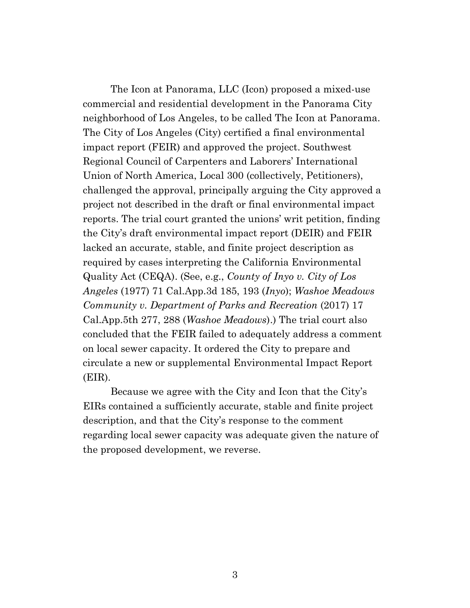The Icon at Panorama, LLC (Icon) proposed a mixed-use commercial and residential development in the Panorama City neighborhood of Los Angeles, to be called The Icon at Panorama. The City of Los Angeles (City) certified a final environmental impact report (FEIR) and approved the project. Southwest Regional Council of Carpenters and Laborers' International Union of North America, Local 300 (collectively, Petitioners), challenged the approval, principally arguing the City approved a project not described in the draft or final environmental impact reports. The trial court granted the unions' writ petition, finding the City's draft environmental impact report (DEIR) and FEIR lacked an accurate, stable, and finite project description as required by cases interpreting the California Environmental Quality Act (CEQA). (See, e.g., *County of Inyo v. City of Los Angeles* (1977) 71 Cal.App.3d 185, 193 (*Inyo*); *Washoe Meadows Community v. Department of Parks and Recreation* (2017) 17 Cal.App.5th 277, 288 (*Washoe Meadows*).) The trial court also concluded that the FEIR failed to adequately address a comment on local sewer capacity. It ordered the City to prepare and circulate a new or supplemental Environmental Impact Report (EIR).

Because we agree with the City and Icon that the City's EIRs contained a sufficiently accurate, stable and finite project description, and that the City's response to the comment regarding local sewer capacity was adequate given the nature of the proposed development, we reverse.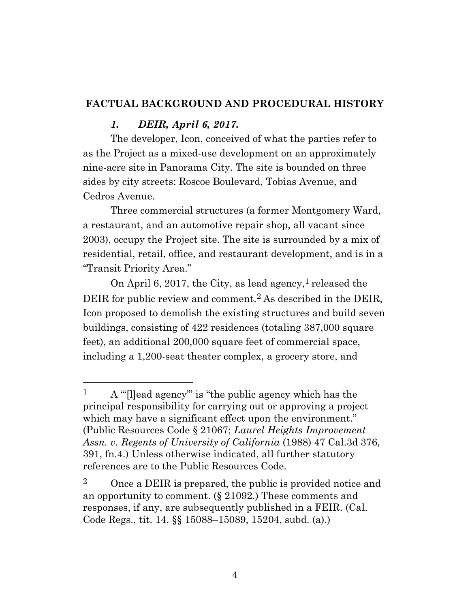### **FACTUAL BACKGROUND AND PROCEDURAL HISTORY**

#### *1. DEIR, April 6, 2017.*

The developer, Icon, conceived of what the parties refer to as the Project as a mixed-use development on an approximately nine-acre site in Panorama City. The site is bounded on three sides by city streets: Roscoe Boulevard, Tobias Avenue, and Cedros Avenue.

Three commercial structures (a former Montgomery Ward, a restaurant, and an automotive repair shop, all vacant since 2003), occupy the Project site. The site is surrounded by a mix of residential, retail, office, and restaurant development, and is in a "Transit Priority Area."

On April 6, 2017, the City, as lead agency,<sup>1</sup> released the DEIR for public review and comment.<sup>2</sup> As described in the DEIR, Icon proposed to demolish the existing structures and build seven buildings, consisting of 422 residences (totaling 387,000 square feet), an additional 200,000 square feet of commercial space, including a 1,200-seat theater complex, a grocery store, and

<sup>&</sup>lt;sup>1</sup> A "[lead agency" is "the public agency which has the principal responsibility for carrying out or approving a project which may have a significant effect upon the environment." (Public Resources Code § 21067; *Laurel Heights Improvement Assn. v. Regents of University of California* (1988) 47 Cal.3d 376, 391, fn.4.) Unless otherwise indicated, all further statutory references are to the Public Resources Code.

 $2^2$  Once a DEIR is prepared, the public is provided notice and an opportunity to comment. (§ 21092.) These comments and responses, if any, are subsequently published in a FEIR. (Cal. Code Regs., tit. 14, §§ 15088–15089, 15204, subd. (a).)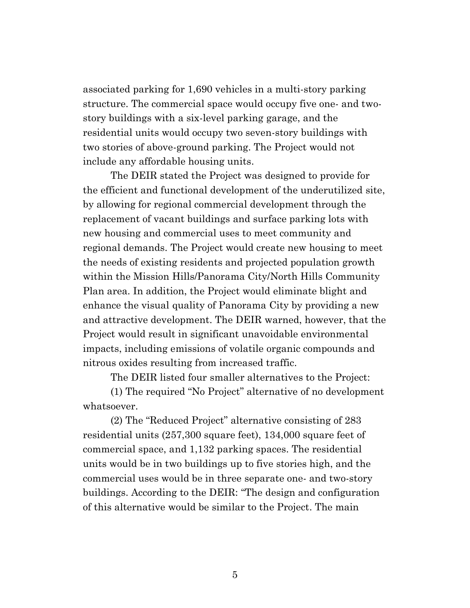associated parking for 1,690 vehicles in a multi-story parking structure. The commercial space would occupy five one- and twostory buildings with a six-level parking garage, and the residential units would occupy two seven-story buildings with two stories of above-ground parking. The Project would not include any affordable housing units.

The DEIR stated the Project was designed to provide for the efficient and functional development of the underutilized site, by allowing for regional commercial development through the replacement of vacant buildings and surface parking lots with new housing and commercial uses to meet community and regional demands. The Project would create new housing to meet the needs of existing residents and projected population growth within the Mission Hills/Panorama City/North Hills Community Plan area. In addition, the Project would eliminate blight and enhance the visual quality of Panorama City by providing a new and attractive development. The DEIR warned, however, that the Project would result in significant unavoidable environmental impacts, including emissions of volatile organic compounds and nitrous oxides resulting from increased traffic.

The DEIR listed four smaller alternatives to the Project:

(1) The required "No Project" alternative of no development whatsoever.

(2) The "Reduced Project" alternative consisting of 283 residential units (257,300 square feet), 134,000 square feet of commercial space, and 1,132 parking spaces. The residential units would be in two buildings up to five stories high, and the commercial uses would be in three separate one- and two-story buildings. According to the DEIR: "The design and configuration of this alternative would be similar to the Project. The main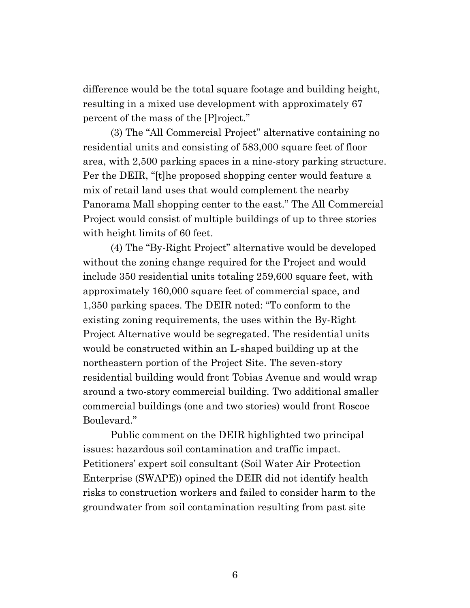difference would be the total square footage and building height, resulting in a mixed use development with approximately 67 percent of the mass of the [P]roject."

(3) The "All Commercial Project" alternative containing no residential units and consisting of 583,000 square feet of floor area, with 2,500 parking spaces in a nine-story parking structure. Per the DEIR, "[t]he proposed shopping center would feature a mix of retail land uses that would complement the nearby Panorama Mall shopping center to the east." The All Commercial Project would consist of multiple buildings of up to three stories with height limits of 60 feet.

(4) The "By-Right Project" alternative would be developed without the zoning change required for the Project and would include 350 residential units totaling 259,600 square feet, with approximately 160,000 square feet of commercial space, and 1,350 parking spaces. The DEIR noted: "To conform to the existing zoning requirements, the uses within the By-Right Project Alternative would be segregated. The residential units would be constructed within an L-shaped building up at the northeastern portion of the Project Site. The seven-story residential building would front Tobias Avenue and would wrap around a two-story commercial building. Two additional smaller commercial buildings (one and two stories) would front Roscoe Boulevard."

Public comment on the DEIR highlighted two principal issues: hazardous soil contamination and traffic impact. Petitioners' expert soil consultant (Soil Water Air Protection Enterprise (SWAPE)) opined the DEIR did not identify health risks to construction workers and failed to consider harm to the groundwater from soil contamination resulting from past site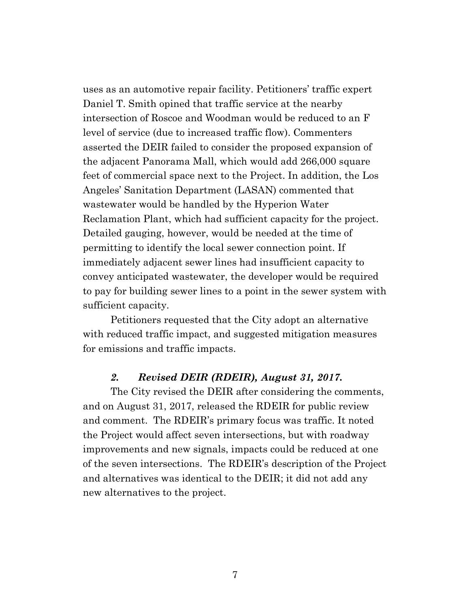uses as an automotive repair facility. Petitioners' traffic expert Daniel T. Smith opined that traffic service at the nearby intersection of Roscoe and Woodman would be reduced to an F level of service (due to increased traffic flow). Commenters asserted the DEIR failed to consider the proposed expansion of the adjacent Panorama Mall, which would add 266,000 square feet of commercial space next to the Project. In addition, the Los Angeles' Sanitation Department (LASAN) commented that wastewater would be handled by the Hyperion Water Reclamation Plant, which had sufficient capacity for the project. Detailed gauging, however, would be needed at the time of permitting to identify the local sewer connection point. If immediately adjacent sewer lines had insufficient capacity to convey anticipated wastewater, the developer would be required to pay for building sewer lines to a point in the sewer system with sufficient capacity.

Petitioners requested that the City adopt an alternative with reduced traffic impact, and suggested mitigation measures for emissions and traffic impacts.

### *2. Revised DEIR (RDEIR), August 31, 2017.*

The City revised the DEIR after considering the comments, and on August 31, 2017, released the RDEIR for public review and comment. The RDEIR's primary focus was traffic. It noted the Project would affect seven intersections, but with roadway improvements and new signals, impacts could be reduced at one of the seven intersections. The RDEIR's description of the Project and alternatives was identical to the DEIR; it did not add any new alternatives to the project.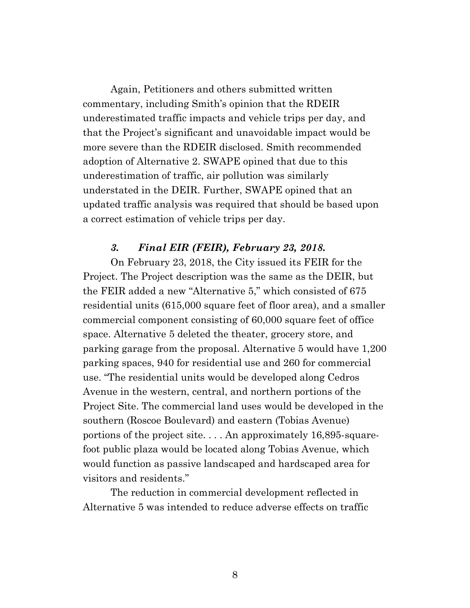Again, Petitioners and others submitted written commentary, including Smith's opinion that the RDEIR underestimated traffic impacts and vehicle trips per day, and that the Project's significant and unavoidable impact would be more severe than the RDEIR disclosed. Smith recommended adoption of Alternative 2. SWAPE opined that due to this underestimation of traffic, air pollution was similarly understated in the DEIR. Further, SWAPE opined that an updated traffic analysis was required that should be based upon a correct estimation of vehicle trips per day.

#### *3. Final EIR (FEIR), February 23, 2018.*

On February 23, 2018, the City issued its FEIR for the Project. The Project description was the same as the DEIR, but the FEIR added a new "Alternative 5," which consisted of 675 residential units (615,000 square feet of floor area), and a smaller commercial component consisting of 60,000 square feet of office space. Alternative 5 deleted the theater, grocery store, and parking garage from the proposal. Alternative 5 would have 1,200 parking spaces, 940 for residential use and 260 for commercial use. "The residential units would be developed along Cedros Avenue in the western, central, and northern portions of the Project Site. The commercial land uses would be developed in the southern (Roscoe Boulevard) and eastern (Tobias Avenue) portions of the project site. . . . An approximately 16,895-squarefoot public plaza would be located along Tobias Avenue, which would function as passive landscaped and hardscaped area for visitors and residents."

The reduction in commercial development reflected in Alternative 5 was intended to reduce adverse effects on traffic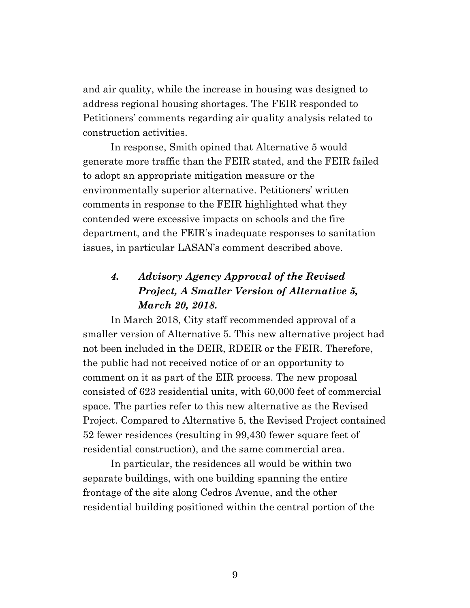and air quality, while the increase in housing was designed to address regional housing shortages. The FEIR responded to Petitioners' comments regarding air quality analysis related to construction activities.

In response, Smith opined that Alternative 5 would generate more traffic than the FEIR stated, and the FEIR failed to adopt an appropriate mitigation measure or the environmentally superior alternative. Petitioners' written comments in response to the FEIR highlighted what they contended were excessive impacts on schools and the fire department, and the FEIR's inadequate responses to sanitation issues, in particular LASAN's comment described above.

# *4. Advisory Agency Approval of the Revised Project, A Smaller Version of Alternative 5, March 20, 2018.*

In March 2018, City staff recommended approval of a smaller version of Alternative 5. This new alternative project had not been included in the DEIR, RDEIR or the FEIR. Therefore, the public had not received notice of or an opportunity to comment on it as part of the EIR process. The new proposal consisted of 623 residential units, with 60,000 feet of commercial space. The parties refer to this new alternative as the Revised Project. Compared to Alternative 5, the Revised Project contained 52 fewer residences (resulting in 99,430 fewer square feet of residential construction), and the same commercial area.

In particular, the residences all would be within two separate buildings, with one building spanning the entire frontage of the site along Cedros Avenue, and the other residential building positioned within the central portion of the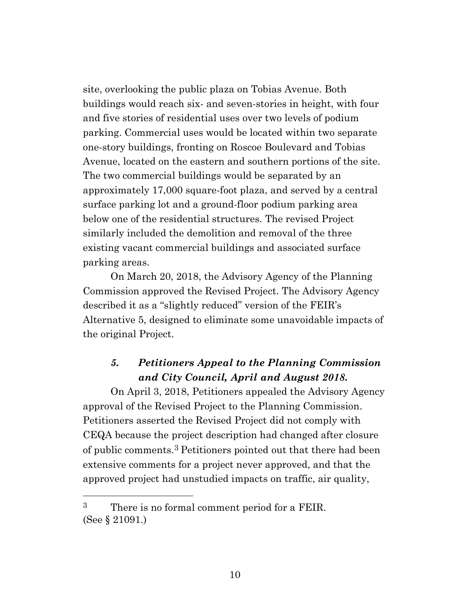site, overlooking the public plaza on Tobias Avenue. Both buildings would reach six- and seven-stories in height, with four and five stories of residential uses over two levels of podium parking. Commercial uses would be located within two separate one-story buildings, fronting on Roscoe Boulevard and Tobias Avenue, located on the eastern and southern portions of the site. The two commercial buildings would be separated by an approximately 17,000 square-foot plaza, and served by a central surface parking lot and a ground-floor podium parking area below one of the residential structures. The revised Project similarly included the demolition and removal of the three existing vacant commercial buildings and associated surface parking areas.

On March 20, 2018, the Advisory Agency of the Planning Commission approved the Revised Project. The Advisory Agency described it as a "slightly reduced" version of the FEIR's Alternative 5, designed to eliminate some unavoidable impacts of the original Project.

## *5. Petitioners Appeal to the Planning Commission and City Council, April and August 2018.*

On April 3, 2018, Petitioners appealed the Advisory Agency approval of the Revised Project to the Planning Commission. Petitioners asserted the Revised Project did not comply with CEQA because the project description had changed after closure of public comments. <sup>3</sup> Petitioners pointed out that there had been extensive comments for a project never approved, and that the approved project had unstudied impacts on traffic, air quality,

<sup>&</sup>lt;sup>3</sup> There is no formal comment period for a FEIR. (See § 21091.)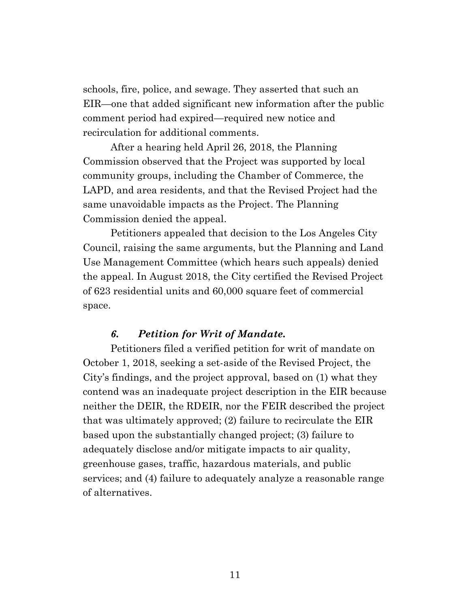schools, fire, police, and sewage. They asserted that such an EIR—one that added significant new information after the public comment period had expired—required new notice and recirculation for additional comments.

After a hearing held April 26, 2018, the Planning Commission observed that the Project was supported by local community groups, including the Chamber of Commerce, the LAPD, and area residents, and that the Revised Project had the same unavoidable impacts as the Project. The Planning Commission denied the appeal.

Petitioners appealed that decision to the Los Angeles City Council, raising the same arguments, but the Planning and Land Use Management Committee (which hears such appeals) denied the appeal. In August 2018, the City certified the Revised Project of 623 residential units and 60,000 square feet of commercial space.

#### *6. Petition for Writ of Mandate.*

Petitioners filed a verified petition for writ of mandate on October 1, 2018, seeking a set-aside of the Revised Project, the City's findings, and the project approval, based on (1) what they contend was an inadequate project description in the EIR because neither the DEIR, the RDEIR, nor the FEIR described the project that was ultimately approved; (2) failure to recirculate the EIR based upon the substantially changed project; (3) failure to adequately disclose and/or mitigate impacts to air quality, greenhouse gases, traffic, hazardous materials, and public services; and (4) failure to adequately analyze a reasonable range of alternatives.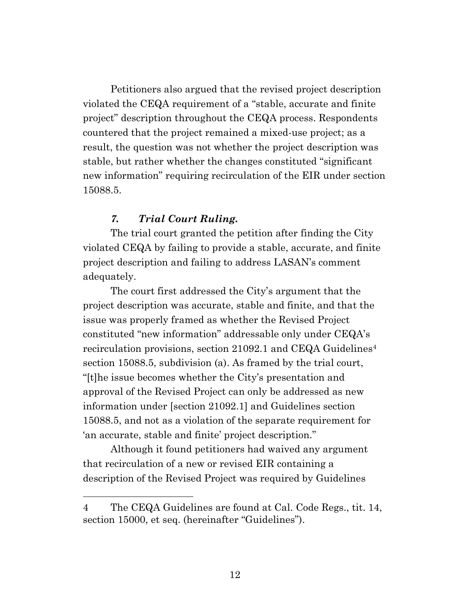Petitioners also argued that the revised project description violated the CEQA requirement of a "stable, accurate and finite project" description throughout the CEQA process. Respondents countered that the project remained a mixed-use project; as a result, the question was not whether the project description was stable, but rather whether the changes constituted "significant new information" requiring recirculation of the EIR under section 15088.5.

### *7. Trial Court Ruling.*

The trial court granted the petition after finding the City violated CEQA by failing to provide a stable, accurate, and finite project description and failing to address LASAN's comment adequately.

The court first addressed the City's argument that the project description was accurate, stable and finite, and that the issue was properly framed as whether the Revised Project constituted "new information" addressable only under CEQA's recirculation provisions, section 21092.1 and CEQA Guidelines 4 section 15088.5, subdivision (a). As framed by the trial court, "[t]he issue becomes whether the City's presentation and approval of the Revised Project can only be addressed as new information under [section 21092.1] and Guidelines section 15088.5, and not as a violation of the separate requirement for 'an accurate, stable and finite' project description."

Although it found petitioners had waived any argument that recirculation of a new or revised EIR containing a description of the Revised Project was required by Guidelines

<sup>4</sup> The CEQA Guidelines are found at Cal. Code Regs., tit. 14, section 15000, et seq. (hereinafter "Guidelines").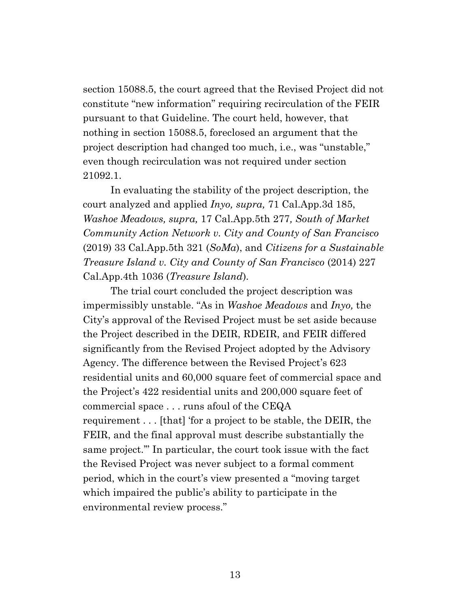section 15088.5, the court agreed that the Revised Project did not constitute "new information" requiring recirculation of the FEIR pursuant to that Guideline. The court held, however, that nothing in section 15088.5, foreclosed an argument that the project description had changed too much, i.e., was "unstable," even though recirculation was not required under section 21092.1.

In evaluating the stability of the project description, the court analyzed and applied *Inyo, supra,* 71 Cal.App.3d 185, *Washoe Meadows, supra,* 17 Cal.App.5th 277*, South of Market Community Action Network v. City and County of San Francisco*  (2019) 33 Cal.App.5th 321 (*SoMa*), and *Citizens for a Sustainable Treasure Island v. City and County of San Francisco* (2014) 227 Cal.App.4th 1036 (*Treasure Island*)*.* 

The trial court concluded the project description was impermissibly unstable. "As in *Washoe Meadows* and *Inyo,* the City's approval of the Revised Project must be set aside because the Project described in the DEIR, RDEIR, and FEIR differed significantly from the Revised Project adopted by the Advisory Agency. The difference between the Revised Project's 623 residential units and 60,000 square feet of commercial space and the Project's 422 residential units and 200,000 square feet of commercial space . . . runs afoul of the CEQA requirement . . . [that] 'for a project to be stable, the DEIR, the FEIR, and the final approval must describe substantially the same project.'" In particular, the court took issue with the fact the Revised Project was never subject to a formal comment period, which in the court's view presented a "moving target which impaired the public's ability to participate in the environmental review process."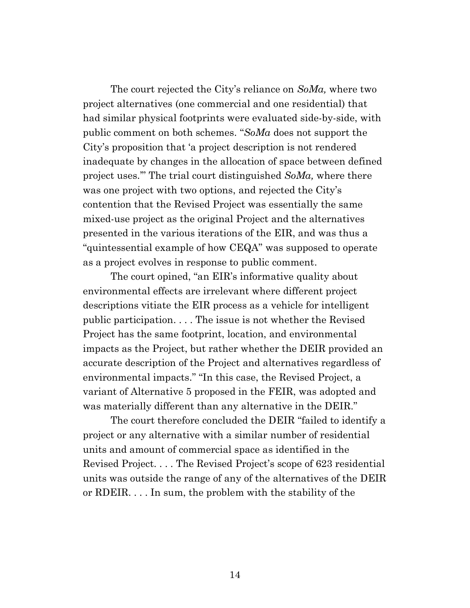The court rejected the City's reliance on *SoMa,* where two project alternatives (one commercial and one residential) that had similar physical footprints were evaluated side-by-side, with public comment on both schemes. "*SoMa* does not support the City's proposition that 'a project description is not rendered inadequate by changes in the allocation of space between defined project uses.'" The trial court distinguished *SoMa,* where there was one project with two options, and rejected the City's contention that the Revised Project was essentially the same mixed-use project as the original Project and the alternatives presented in the various iterations of the EIR, and was thus a "quintessential example of how CEQA" was supposed to operate as a project evolves in response to public comment.

The court opined, "an EIR's informative quality about environmental effects are irrelevant where different project descriptions vitiate the EIR process as a vehicle for intelligent public participation. . . . The issue is not whether the Revised Project has the same footprint, location, and environmental impacts as the Project, but rather whether the DEIR provided an accurate description of the Project and alternatives regardless of environmental impacts." "In this case, the Revised Project, a variant of Alternative 5 proposed in the FEIR, was adopted and was materially different than any alternative in the DEIR."

The court therefore concluded the DEIR "failed to identify a project or any alternative with a similar number of residential units and amount of commercial space as identified in the Revised Project. . . . The Revised Project's scope of 623 residential units was outside the range of any of the alternatives of the DEIR or RDEIR. . . . In sum, the problem with the stability of the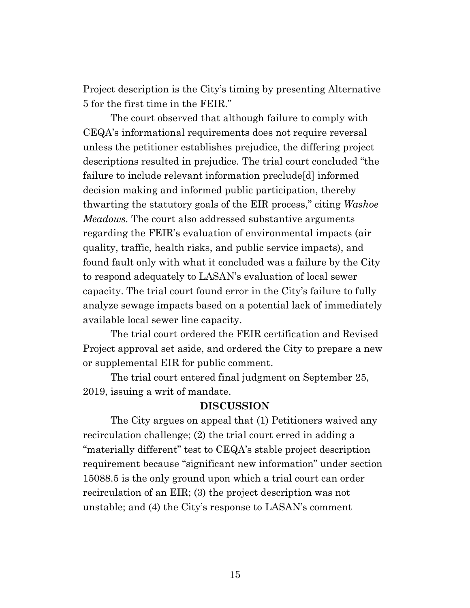Project description is the City's timing by presenting Alternative 5 for the first time in the FEIR."

The court observed that although failure to comply with CEQA's informational requirements does not require reversal unless the petitioner establishes prejudice, the differing project descriptions resulted in prejudice. The trial court concluded "the failure to include relevant information preclude[d] informed decision making and informed public participation, thereby thwarting the statutory goals of the EIR process," citing *Washoe Meadows.* The court also addressed substantive arguments regarding the FEIR's evaluation of environmental impacts (air quality, traffic, health risks, and public service impacts), and found fault only with what it concluded was a failure by the City to respond adequately to LASAN's evaluation of local sewer capacity. The trial court found error in the City's failure to fully analyze sewage impacts based on a potential lack of immediately available local sewer line capacity.

The trial court ordered the FEIR certification and Revised Project approval set aside, and ordered the City to prepare a new or supplemental EIR for public comment.

The trial court entered final judgment on September 25, 2019, issuing a writ of mandate.

#### **DISCUSSION**

The City argues on appeal that (1) Petitioners waived any recirculation challenge; (2) the trial court erred in adding a "materially different" test to CEQA's stable project description requirement because "significant new information" under section 15088.5 is the only ground upon which a trial court can order recirculation of an EIR; (3) the project description was not unstable; and (4) the City's response to LASAN's comment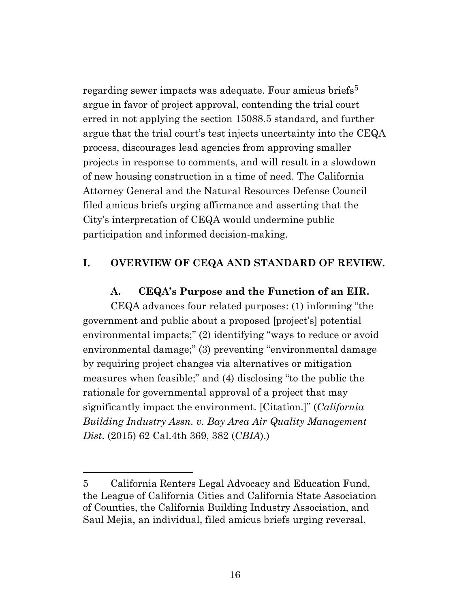regarding sewer impacts was adequate. Four amicus briefs<sup>5</sup> argue in favor of project approval, contending the trial court erred in not applying the section 15088.5 standard, and further argue that the trial court's test injects uncertainty into the CEQA process, discourages lead agencies from approving smaller projects in response to comments, and will result in a slowdown of new housing construction in a time of need. The California Attorney General and the Natural Resources Defense Council filed amicus briefs urging affirmance and asserting that the City's interpretation of CEQA would undermine public participation and informed decision-making.

### **I. OVERVIEW OF CEQA AND STANDARD OF REVIEW.**

#### **A. CEQA's Purpose and the Function of an EIR.**

CEQA advances four related purposes: (1) informing "the government and public about a proposed [project's] potential environmental impacts;" (2) identifying "ways to reduce or avoid environmental damage;" (3) preventing "environmental damage by requiring project changes via alternatives or mitigation measures when feasible;" and (4) disclosing "to the public the rationale for governmental approval of a project that may significantly impact the environment. [Citation.]" (*California Building Industry Assn. v. Bay Area Air Quality Management Dist*. (2015) 62 Cal.4th 369, 382 (*CBIA*).)

<sup>5</sup> California Renters Legal Advocacy and Education Fund, the League of California Cities and California State Association of Counties, the California Building Industry Association, and Saul Mejia, an individual, filed amicus briefs urging reversal.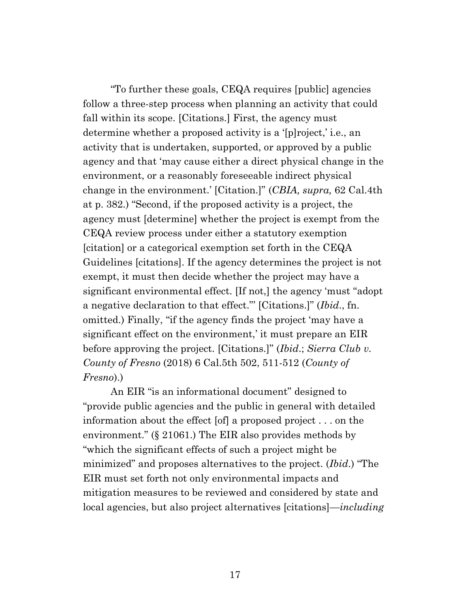"To further these goals, CEQA requires [public] agencies follow a three-step process when planning an activity that could fall within its scope. [Citations.] First, the agency must determine whether a proposed activity is a '[p]roject,' i.e., an activity that is undertaken, supported, or approved by a public agency and that 'may cause either a direct physical change in the environment, or a reasonably foreseeable indirect physical change in the environment.' [Citation.]" (*CBIA, supra,* 62 Cal.4th at p. 382.) "Second, if the proposed activity is a project, the agency must [determine] whether the project is exempt from the CEQA review process under either a statutory exemption [citation] or a categorical exemption set forth in the CEQA Guidelines [citations]. If the agency determines the project is not exempt, it must then decide whether the project may have a significant environmental effect. [If not,] the agency 'must "adopt a negative declaration to that effect."' [Citations.]" (*Ibid*., fn. omitted.) Finally, "if the agency finds the project 'may have a significant effect on the environment,' it must prepare an EIR before approving the project. [Citations.]" (*Ibid*.; *Sierra Club v. County of Fresno* (2018) 6 Cal.5th 502, 511-512 (*County of Fresno*).)

An EIR "is an informational document" designed to "provide public agencies and the public in general with detailed information about the effect [of] a proposed project . . . on the environment." (§ 21061.) The EIR also provides methods by "which the significant effects of such a project might be minimized" and proposes alternatives to the project. (*Ibid*.) "The EIR must set forth not only environmental impacts and mitigation measures to be reviewed and considered by state and local agencies, but also project alternatives [citations]—*including*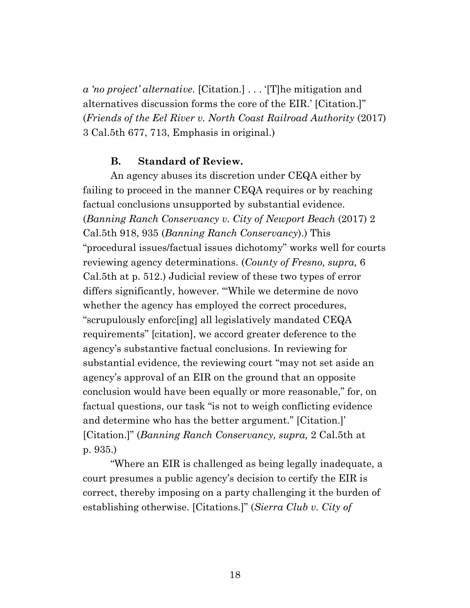*a 'no project' alternative*. [Citation.] . . . '[T]he mitigation and alternatives discussion forms the core of the EIR.' [Citation.]" (*Friends of the Eel River v. North Coast Railroad Authority* (2017) 3 Cal.5th 677, 713, Emphasis in original.)

#### **B. Standard of Review.**

An agency abuses its discretion under CEQA either by failing to proceed in the manner CEQA requires or by reaching factual conclusions unsupported by substantial evidence. (*Banning Ranch Conservancy v. City of Newport Beach* (2017) 2 Cal.5th 918, 935 (*Banning Ranch Conservancy*).) This "procedural issues/factual issues dichotomy" works well for courts reviewing agency determinations. (*County of Fresno, supra,* 6 Cal.5th at p. 512.) Judicial review of these two types of error differs significantly, however. "'While we determine de novo whether the agency has employed the correct procedures, "scrupulously enforc[ing] all legislatively mandated CEQA requirements" [citation], we accord greater deference to the agency's substantive factual conclusions. In reviewing for substantial evidence, the reviewing court "may not set aside an agency's approval of an EIR on the ground that an opposite conclusion would have been equally or more reasonable," for, on factual questions, our task "is not to weigh conflicting evidence and determine who has the better argument." [Citation.]' [Citation.]" (*Banning Ranch Conservancy, supra,* 2 Cal.5th at p. 935.)

"Where an EIR is challenged as being legally inadequate, a court presumes a public agency's decision to certify the EIR is correct, thereby imposing on a party challenging it the burden of establishing otherwise. [Citations.]" (*Sierra Club v. City of*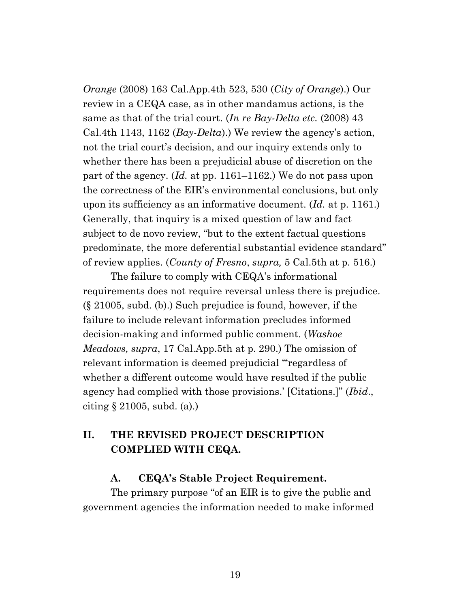*Orange* (2008) 163 Cal.App.4th 523, 530 (*City of Orange*).) Our review in a CEQA case, as in other mandamus actions, is the same as that of the trial court. (*In re Bay-Delta etc.* (2008) 43 Cal.4th 1143, 1162 (*Bay-Delta*).) We review the agency's action, not the trial court's decision, and our inquiry extends only to whether there has been a prejudicial abuse of discretion on the part of the agency. (*Id.* at pp. 1161–1162.) We do not pass upon the correctness of the EIR's environmental conclusions, but only upon its sufficiency as an informative document. (*Id.* at p. 1161.) Generally, that inquiry is a mixed question of law and fact subject to de novo review, "but to the extent factual questions predominate, the more deferential substantial evidence standard" of review applies. (*County of Fresno*, *supra,* 5 Cal.5th at p. 516.)

The failure to comply with CEQA's informational requirements does not require reversal unless there is prejudice. (§ 21005, subd. (b).) Such prejudice is found, however, if the failure to include relevant information precludes informed decision-making and informed public comment. (*Washoe Meadows, supra*, 17 Cal.App.5th at p. 290.) The omission of relevant information is deemed prejudicial "'regardless of whether a different outcome would have resulted if the public agency had complied with those provisions.' [Citations.]" (*Ibid*., citing § 21005, subd. (a).)

## **II. THE REVISED PROJECT DESCRIPTION COMPLIED WITH CEQA.**

### **A. CEQA's Stable Project Requirement.**

The primary purpose "of an EIR is to give the public and government agencies the information needed to make informed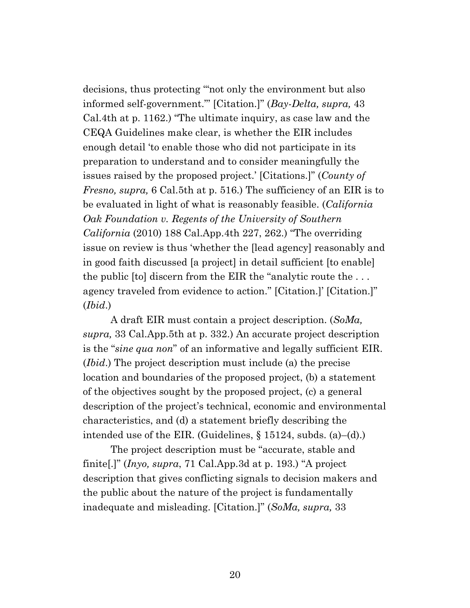decisions, thus protecting '"not only the environment but also informed self-government."' [Citation.]" (*Bay-Delta, supra,* 43 Cal.4th at p. 1162.) "The ultimate inquiry, as case law and the CEQA Guidelines make clear, is whether the EIR includes enough detail 'to enable those who did not participate in its preparation to understand and to consider meaningfully the issues raised by the proposed project.' [Citations.]" (*County of Fresno, supra,* 6 Cal.5th at p. 516.) The sufficiency of an EIR is to be evaluated in light of what is reasonably feasible. (*California Oak Foundation v. Regents of the University of Southern California* (2010) 188 Cal.App.4th 227, 262.) "The overriding issue on review is thus 'whether the [lead agency] reasonably and in good faith discussed [a project] in detail sufficient [to enable] the public [to] discern from the EIR the "analytic route the . . . agency traveled from evidence to action." [Citation.]' [Citation.]" (*Ibid*.)

A draft EIR must contain a project description. (*SoMa, supra,* 33 Cal.App.5th at p. 332.) An accurate project description is the "*sine qua non*" of an informative and legally sufficient EIR. (*Ibid*.) The project description must include (a) the precise location and boundaries of the proposed project, (b) a statement of the objectives sought by the proposed project, (c) a general description of the project's technical, economic and environmental characteristics, and (d) a statement briefly describing the intended use of the EIR. (Guidelines, § 15124, subds. (a)–(d).)

The project description must be "accurate, stable and finite[.]" (*Inyo, supra*, 71 Cal.App.3d at p. 193.) "A project description that gives conflicting signals to decision makers and the public about the nature of the project is fundamentally inadequate and misleading. [Citation.]" (*SoMa, supra,* 33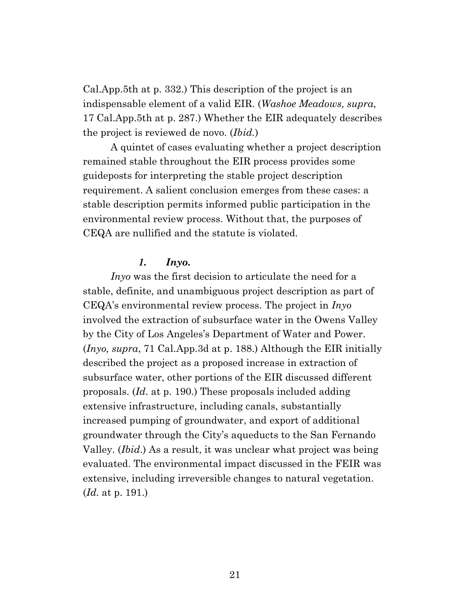Cal.App.5th at p. 332.) This description of the project is an indispensable element of a valid EIR. (*Washoe Meadows, supra*, 17 Cal.App.5th at p. 287.) Whether the EIR adequately describes the project is reviewed de novo. (*Ibid.*)

A quintet of cases evaluating whether a project description remained stable throughout the EIR process provides some guideposts for interpreting the stable project description requirement. A salient conclusion emerges from these cases: a stable description permits informed public participation in the environmental review process. Without that, the purposes of CEQA are nullified and the statute is violated.

#### *1. Inyo.*

*Inyo* was the first decision to articulate the need for a stable, definite, and unambiguous project description as part of CEQA's environmental review process. The project in *Inyo* involved the extraction of subsurface water in the Owens Valley by the City of Los Angeles's Department of Water and Power. (*Inyo, supra*, 71 Cal.App.3d at p. 188.) Although the EIR initially described the project as a proposed increase in extraction of subsurface water, other portions of the EIR discussed different proposals. (*Id*. at p. 190.) These proposals included adding extensive infrastructure, including canals, substantially increased pumping of groundwater, and export of additional groundwater through the City's aqueducts to the San Fernando Valley. (*Ibid*.) As a result, it was unclear what project was being evaluated. The environmental impact discussed in the FEIR was extensive, including irreversible changes to natural vegetation. (*Id.* at p. 191.)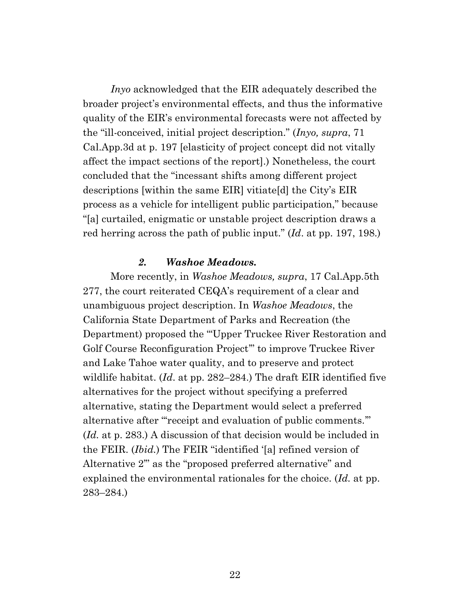*Inyo* acknowledged that the EIR adequately described the broader project's environmental effects, and thus the informative quality of the EIR's environmental forecasts were not affected by the "ill-conceived, initial project description." (*Inyo, supra*, 71 Cal.App.3d at p. 197 [elasticity of project concept did not vitally affect the impact sections of the report].) Nonetheless, the court concluded that the "incessant shifts among different project descriptions [within the same EIR] vitiate[d] the City's EIR process as a vehicle for intelligent public participation," because "[a] curtailed, enigmatic or unstable project description draws a red herring across the path of public input." (*Id*. at pp. 197, 198.)

#### *2. Washoe Meadows.*

More recently, in *Washoe Meadows, supra*, 17 Cal.App.5th 277, the court reiterated CEQA's requirement of a clear and unambiguous project description. In *Washoe Meadows*, the California State Department of Parks and Recreation (the Department) proposed the "'Upper Truckee River Restoration and Golf Course Reconfiguration Project'" to improve Truckee River and Lake Tahoe water quality, and to preserve and protect wildlife habitat. (*Id*. at pp. 282–284.) The draft EIR identified five alternatives for the project without specifying a preferred alternative, stating the Department would select a preferred alternative after "'receipt and evaluation of public comments.'" (*Id.* at p. 283.) A discussion of that decision would be included in the FEIR. (*Ibid.*) The FEIR "identified '[a] refined version of Alternative 2'" as the "proposed preferred alternative" and explained the environmental rationales for the choice. (*Id.* at pp. 283–284.)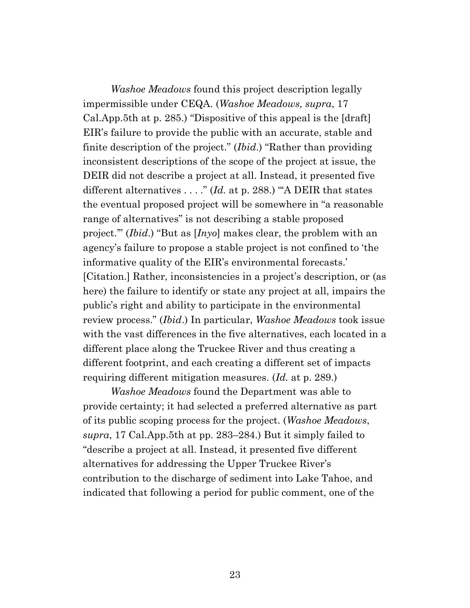*Washoe Meadows* found this project description legally impermissible under CEQA. (*Washoe Meadows, supra*, 17 Cal.App.5th at p. 285.) "Dispositive of this appeal is the [draft] EIR's failure to provide the public with an accurate, stable and finite description of the project." (*Ibid*.) "Rather than providing inconsistent descriptions of the scope of the project at issue, the DEIR did not describe a project at all. Instead, it presented five different alternatives . . . ." (*Id.* at p. 288.) "'A DEIR that states the eventual proposed project will be somewhere in "a reasonable range of alternatives" is not describing a stable proposed project.'" (*Ibid*.) "But as [*Inyo*] makes clear, the problem with an agency's failure to propose a stable project is not confined to 'the informative quality of the EIR's environmental forecasts.' [Citation.] Rather, inconsistencies in a project's description, or (as here) the failure to identify or state any project at all, impairs the public's right and ability to participate in the environmental review process." (*Ibid*.) In particular, *Washoe Meadows* took issue with the vast differences in the five alternatives, each located in a different place along the Truckee River and thus creating a different footprint, and each creating a different set of impacts requiring different mitigation measures. (*Id.* at p. 289.)

*Washoe Meadows* found the Department was able to provide certainty; it had selected a preferred alternative as part of its public scoping process for the project. (*Washoe Meadows*, *supra*, 17 Cal.App.5th at pp. 283–284.) But it simply failed to "describe a project at all. Instead, it presented five different alternatives for addressing the Upper Truckee River's contribution to the discharge of sediment into Lake Tahoe, and indicated that following a period for public comment, one of the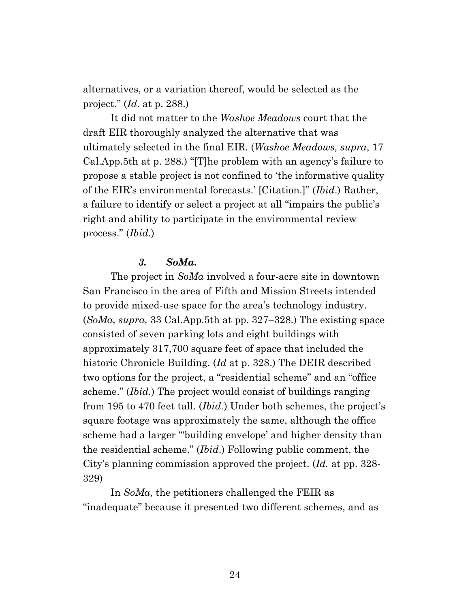alternatives, or a variation thereof, would be selected as the project." (*Id*. at p. 288.)

It did not matter to the *Washoe Meadows* court that the draft EIR thoroughly analyzed the alternative that was ultimately selected in the final EIR. (*Washoe Meadows, supra*, 17 Cal.App.5th at p. 288.) "[T]he problem with an agency's failure to propose a stable project is not confined to 'the informative quality of the EIR's environmental forecasts.' [Citation.]" (*Ibid*.) Rather, a failure to identify or select a project at all "impairs the public's right and ability to participate in the environmental review process." (*Ibid*.)

#### *3. SoMa.*

The project in *SoMa* involved a four-acre site in downtown San Francisco in the area of Fifth and Mission Streets intended to provide mixed-use space for the area's technology industry. (*SoMa, supra,* 33 Cal.App.5th at pp. 327–328.) The existing space consisted of seven parking lots and eight buildings with approximately 317,700 square feet of space that included the historic Chronicle Building. (*Id* at p. 328.) The DEIR described two options for the project, a "residential scheme" and an "office scheme." (*Ibid.*) The project would consist of buildings ranging from 195 to 470 feet tall. (*Ibid.*) Under both schemes, the project's square footage was approximately the same, although the office scheme had a larger "'building envelope' and higher density than the residential scheme." (*Ibid*.) Following public comment, the City's planning commission approved the project. (*Id.* at pp. 328- 329)

In *SoMa,* the petitioners challenged the FEIR as "inadequate" because it presented two different schemes, and as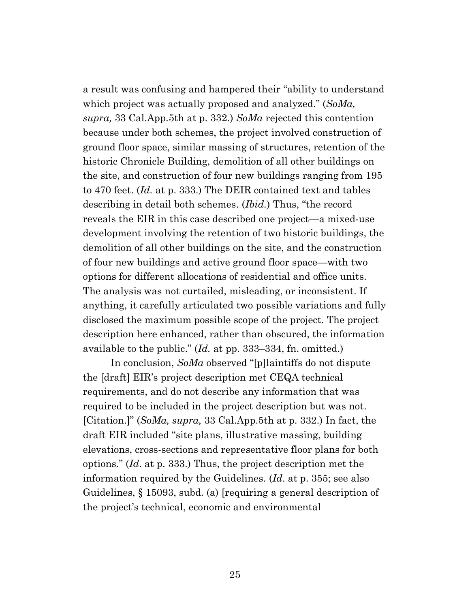a result was confusing and hampered their "ability to understand which project was actually proposed and analyzed." (*SoMa, supra,* 33 Cal.App.5th at p. 332.) *SoMa* rejected this contention because under both schemes, the project involved construction of ground floor space, similar massing of structures, retention of the historic Chronicle Building, demolition of all other buildings on the site, and construction of four new buildings ranging from 195 to 470 feet. (*Id.* at p. 333.) The DEIR contained text and tables describing in detail both schemes. (*Ibid.*) Thus, "the record reveals the EIR in this case described one project—a mixed-use development involving the retention of two historic buildings, the demolition of all other buildings on the site, and the construction of four new buildings and active ground floor space—with two options for different allocations of residential and office units. The analysis was not curtailed, misleading, or inconsistent. If anything, it carefully articulated two possible variations and fully disclosed the maximum possible scope of the project. The project description here enhanced, rather than obscured, the information available to the public." (*Id.* at pp. 333–334, fn. omitted.)

In conclusion, *SoMa* observed "[p]laintiffs do not dispute the [draft] EIR's project description met CEQA technical requirements, and do not describe any information that was required to be included in the project description but was not. [Citation.]" (*SoMa, supra,* 33 Cal.App.5th at p. 332.) In fact, the draft EIR included "site plans, illustrative massing, building elevations, cross-sections and representative floor plans for both options." (*Id*. at p. 333.) Thus, the project description met the information required by the Guidelines. (*Id*. at p. 355; see also Guidelines, § 15093, subd. (a) [requiring a general description of the project's technical, economic and environmental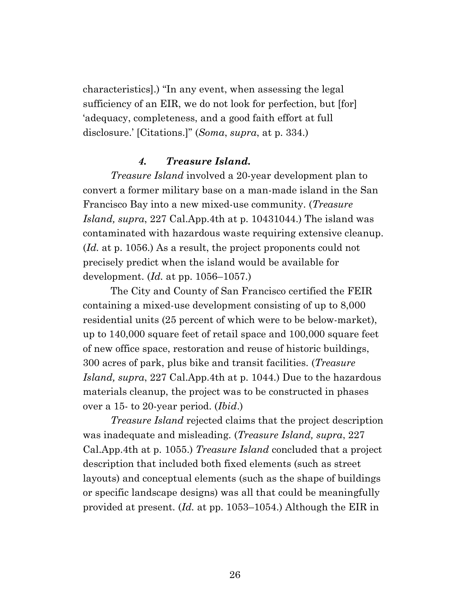characteristics].) "In any event, when assessing the legal sufficiency of an EIR, we do not look for perfection, but [for] 'adequacy, completeness, and a good faith effort at full disclosure.' [Citations.]" (*Soma*, *supra*, at p. 334.)

#### *4. Treasure Island.*

*Treasure Island* involved a 20-year development plan to convert a former military base on a man-made island in the San Francisco Bay into a new mixed-use community. (*Treasure Island, supra*, 227 Cal.App.4th at p. 10431044.) The island was contaminated with hazardous waste requiring extensive cleanup. (*Id.* at p. 1056.) As a result, the project proponents could not precisely predict when the island would be available for development. (*Id.* at pp. 1056–1057.)

The City and County of San Francisco certified the FEIR containing a mixed-use development consisting of up to 8,000 residential units (25 percent of which were to be below-market), up to 140,000 square feet of retail space and 100,000 square feet of new office space, restoration and reuse of historic buildings, 300 acres of park, plus bike and transit facilities. (*Treasure Island, supra*, 227 Cal.App.4th at p. 1044.) Due to the hazardous materials cleanup, the project was to be constructed in phases over a 15- to 20-year period. (*Ibid*.)

*Treasure Island* rejected claims that the project description was inadequate and misleading*.* (*Treasure Island, supra*, 227 Cal.App.4th at p. 1055.) *Treasure Island* concluded that a project description that included both fixed elements (such as street layouts) and conceptual elements (such as the shape of buildings or specific landscape designs) was all that could be meaningfully provided at present. (*Id.* at pp. 1053–1054.) Although the EIR in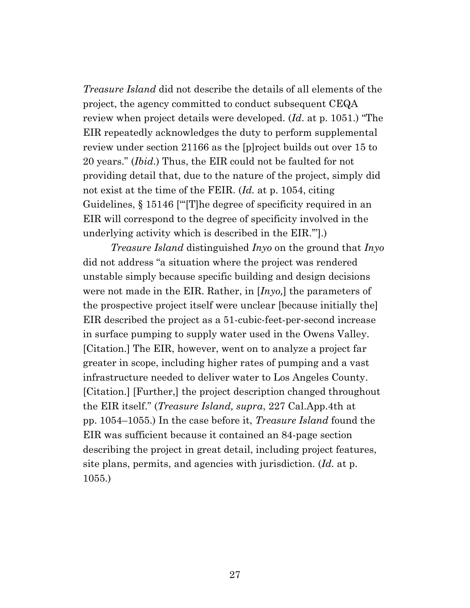*Treasure Island* did not describe the details of all elements of the project, the agency committed to conduct subsequent CEQA review when project details were developed. (*Id*. at p. 1051.) "The EIR repeatedly acknowledges the duty to perform supplemental review under section 21166 as the [p]roject builds out over 15 to 20 years." (*Ibid*.) Thus, the EIR could not be faulted for not providing detail that, due to the nature of the project, simply did not exist at the time of the FEIR. (*Id.* at p. 1054, citing Guidelines, § 15146 ["'[T]he degree of specificity required in an EIR will correspond to the degree of specificity involved in the underlying activity which is described in the EIR.'"].)

*Treasure Island* distinguished *Inyo* on the ground that *Inyo*  did not address "a situation where the project was rendered unstable simply because specific building and design decisions were not made in the EIR. Rather, in [*Inyo,*] the parameters of the prospective project itself were unclear [because initially the] EIR described the project as a 51-cubic-feet-per-second increase in surface pumping to supply water used in the Owens Valley. [Citation.] The EIR, however, went on to analyze a project far greater in scope, including higher rates of pumping and a vast infrastructure needed to deliver water to Los Angeles County. [Citation.] [Further,] the project description changed throughout the EIR itself." (*Treasure Island, supra*, 227 Cal.App.4th at pp. 1054–1055.) In the case before it, *Treasure Island* found the EIR was sufficient because it contained an 84-page section describing the project in great detail, including project features, site plans, permits, and agencies with jurisdiction. (*Id.* at p. 1055.)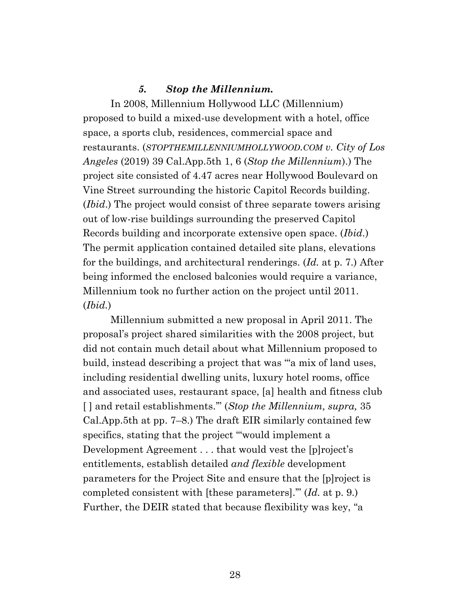### *5. Stop the Millennium.*

In 2008, Millennium Hollywood LLC (Millennium) proposed to build a mixed-use development with a hotel, office space, a sports club, residences, commercial space and restaurants. (*STOPTHEMILLENNIUMHOLLYWOOD.COM v. City of Los Angeles* (2019) 39 Cal.App.5th 1, 6 (*Stop the Millennium*).) The project site consisted of 4.47 acres near Hollywood Boulevard on Vine Street surrounding the historic Capitol Records building. (*Ibid*.) The project would consist of three separate towers arising out of low-rise buildings surrounding the preserved Capitol Records building and incorporate extensive open space. (*Ibid.*) The permit application contained detailed site plans, elevations for the buildings, and architectural renderings. (*Id.* at p. 7.) After being informed the enclosed balconies would require a variance, Millennium took no further action on the project until 2011. (*Ibid.*)

Millennium submitted a new proposal in April 2011. The proposal's project shared similarities with the 2008 project, but did not contain much detail about what Millennium proposed to build, instead describing a project that was '"a mix of land uses, including residential dwelling units, luxury hotel rooms, office and associated uses, restaurant space, [a] health and fitness club [ ] and retail establishments.'" (*Stop the Millennium, supra,* 35 Cal.App.5th at pp. 7–8.) The draft EIR similarly contained few specifics, stating that the project "'would implement a Development Agreement . . . that would vest the [p]roject's entitlements, establish detailed *and flexible* development parameters for the Project Site and ensure that the [p]roject is completed consistent with [these parameters].'" (*Id.* at p. 9.) Further, the DEIR stated that because flexibility was key, "a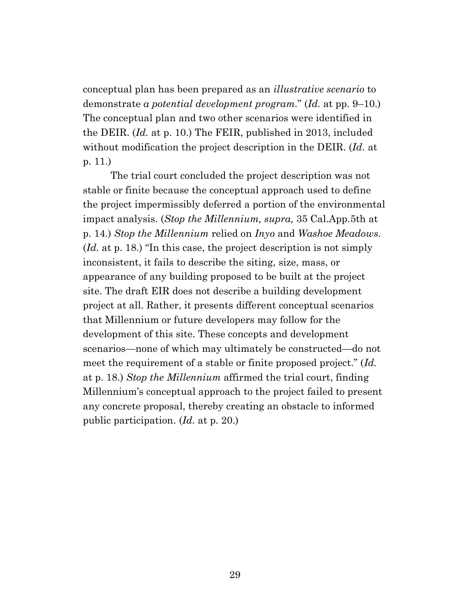conceptual plan has been prepared as an *illustrative scenario* to demonstrate *a potential development program.*" (*Id.* at pp. 9–10.) The conceptual plan and two other scenarios were identified in the DEIR. (*Id.* at p. 10.) The FEIR, published in 2013, included without modification the project description in the DEIR. (*Id.* at p. 11.)

The trial court concluded the project description was not stable or finite because the conceptual approach used to define the project impermissibly deferred a portion of the environmental impact analysis. (*Stop the Millennium, supra,* 35 Cal.App.5th at p. 14.) *Stop the Millennium* relied on *Inyo* and *Washoe Meadows.* (*Id.* at p. 18.) "In this case, the project description is not simply inconsistent, it fails to describe the siting, size, mass, or appearance of any building proposed to be built at the project site. The draft EIR does not describe a building development project at all. Rather, it presents different conceptual scenarios that Millennium or future developers may follow for the development of this site. These concepts and development scenarios—none of which may ultimately be constructed—do not meet the requirement of a stable or finite proposed project." (*Id.*  at p. 18.) *Stop the Millennium* affirmed the trial court, finding Millennium's conceptual approach to the project failed to present any concrete proposal, thereby creating an obstacle to informed public participation. (*Id.* at p. 20.)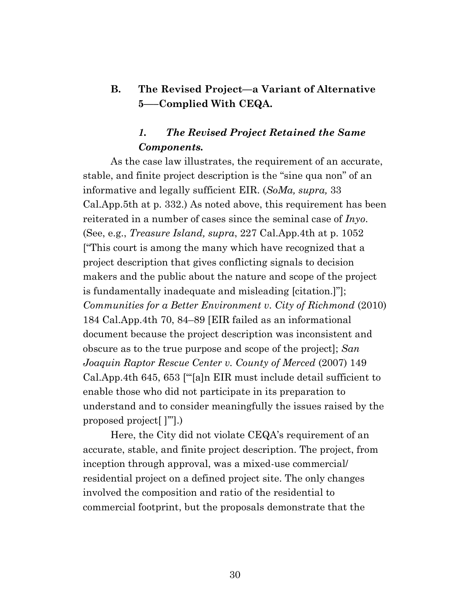## **B. The Revised Project—a Variant of Alternative 5—–Complied With CEQA.**

### *1. The Revised Project Retained the Same Components.*

As the case law illustrates, the requirement of an accurate, stable, and finite project description is the "sine qua non" of an informative and legally sufficient EIR. (*SoMa, supra,* 33 Cal.App.5th at p. 332.) As noted above, this requirement has been reiterated in a number of cases since the seminal case of *Inyo*. (See, e.g., *Treasure Island, supra*, 227 Cal.App.4th at p. 1052 ["This court is among the many which have recognized that a project description that gives conflicting signals to decision makers and the public about the nature and scope of the project is fundamentally inadequate and misleading [citation.]"]; *Communities for a Better Environment v. City of Richmond* (2010) 184 Cal.App.4th 70, 84–89 [EIR failed as an informational document because the project description was inconsistent and obscure as to the true purpose and scope of the project]; *San Joaquin Raptor Rescue Center v. County of Merced* (2007) 149 Cal.App.4th 645, 653 ["'[a]n EIR must include detail sufficient to enable those who did not participate in its preparation to understand and to consider meaningfully the issues raised by the proposed project[ ]'"].)

Here, the City did not violate CEQA's requirement of an accurate, stable, and finite project description. The project, from inception through approval, was a mixed-use commercial/ residential project on a defined project site. The only changes involved the composition and ratio of the residential to commercial footprint, but the proposals demonstrate that the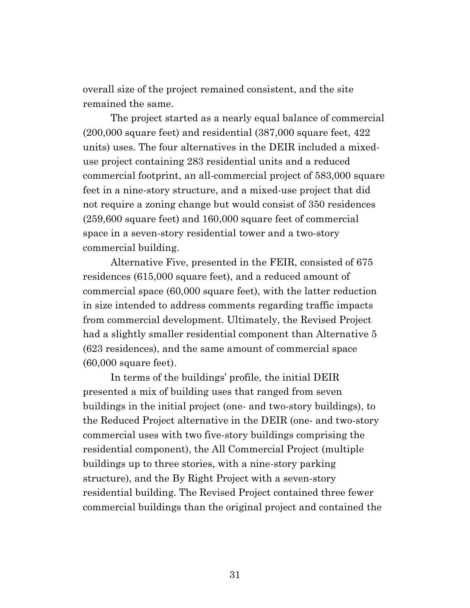overall size of the project remained consistent, and the site remained the same.

The project started as a nearly equal balance of commercial (200,000 square feet) and residential (387,000 square feet, 422 units) uses. The four alternatives in the DEIR included a mixeduse project containing 283 residential units and a reduced commercial footprint, an all-commercial project of 583,000 square feet in a nine-story structure, and a mixed-use project that did not require a zoning change but would consist of 350 residences (259,600 square feet) and 160,000 square feet of commercial space in a seven-story residential tower and a two-story commercial building.

Alternative Five, presented in the FEIR, consisted of 675 residences (615,000 square feet), and a reduced amount of commercial space (60,000 square feet), with the latter reduction in size intended to address comments regarding traffic impacts from commercial development. Ultimately, the Revised Project had a slightly smaller residential component than Alternative 5 (623 residences), and the same amount of commercial space (60,000 square feet).

In terms of the buildings' profile, the initial DEIR presented a mix of building uses that ranged from seven buildings in the initial project (one- and two-story buildings), to the Reduced Project alternative in the DEIR (one- and two-story commercial uses with two five-story buildings comprising the residential component), the All Commercial Project (multiple buildings up to three stories, with a nine-story parking structure), and the By Right Project with a seven-story residential building. The Revised Project contained three fewer commercial buildings than the original project and contained the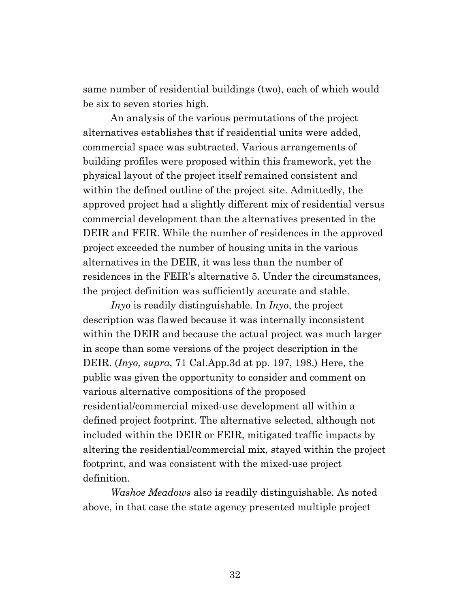same number of residential buildings (two), each of which would be six to seven stories high.

An analysis of the various permutations of the project alternatives establishes that if residential units were added, commercial space was subtracted. Various arrangements of building profiles were proposed within this framework, yet the physical layout of the project itself remained consistent and within the defined outline of the project site. Admittedly, the approved project had a slightly different mix of residential versus commercial development than the alternatives presented in the DEIR and FEIR. While the number of residences in the approved project exceeded the number of housing units in the various alternatives in the DEIR, it was less than the number of residences in the FEIR's alternative 5. Under the circumstances, the project definition was sufficiently accurate and stable.

*Inyo* is readily distinguishable*.* In *Inyo*, the project description was flawed because it was internally inconsistent within the DEIR and because the actual project was much larger in scope than some versions of the project description in the DEIR. (*Inyo, supra,* 71 Cal.App.3d at pp. 197, 198.) Here, the public was given the opportunity to consider and comment on various alternative compositions of the proposed residential/commercial mixed-use development all within a defined project footprint. The alternative selected, although not included within the DEIR or FEIR, mitigated traffic impacts by altering the residential/commercial mix, stayed within the project footprint, and was consistent with the mixed-use project definition.

*Washoe Meadows* also is readily distinguishable*.* As noted above, in that case the state agency presented multiple project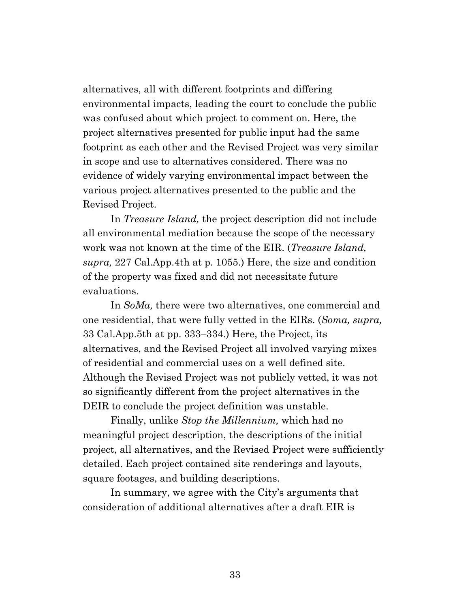alternatives, all with different footprints and differing environmental impacts, leading the court to conclude the public was confused about which project to comment on. Here, the project alternatives presented for public input had the same footprint as each other and the Revised Project was very similar in scope and use to alternatives considered. There was no evidence of widely varying environmental impact between the various project alternatives presented to the public and the Revised Project.

In *Treasure Island,* the project description did not include all environmental mediation because the scope of the necessary work was not known at the time of the EIR. (*Treasure Island, supra,* 227 Cal.App.4th at p. 1055.) Here, the size and condition of the property was fixed and did not necessitate future evaluations.

In *SoMa,* there were two alternatives, one commercial and one residential, that were fully vetted in the EIRs. (*Soma, supra,*  33 Cal.App.5th at pp. 333–334.) Here, the Project, its alternatives, and the Revised Project all involved varying mixes of residential and commercial uses on a well defined site. Although the Revised Project was not publicly vetted, it was not so significantly different from the project alternatives in the DEIR to conclude the project definition was unstable.

Finally, unlike *Stop the Millennium,* which had no meaningful project description, the descriptions of the initial project, all alternatives, and the Revised Project were sufficiently detailed. Each project contained site renderings and layouts, square footages, and building descriptions.

In summary, we agree with the City's arguments that consideration of additional alternatives after a draft EIR is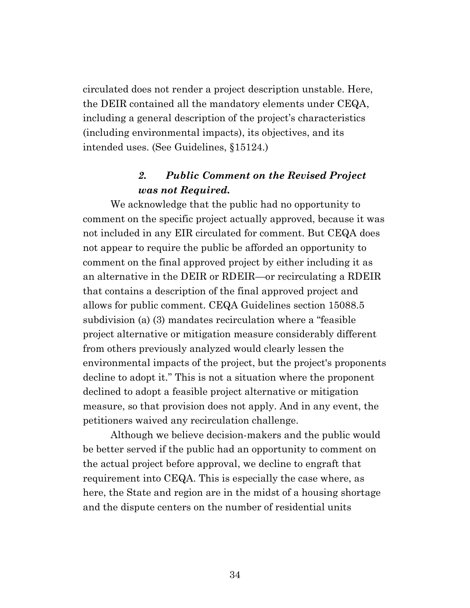circulated does not render a project description unstable. Here, the DEIR contained all the mandatory elements under CEQA, including a general description of the project's characteristics (including environmental impacts), its objectives, and its intended uses. (See Guidelines, §15124.)

### *2. Public Comment on the Revised Project was not Required.*

We acknowledge that the public had no opportunity to comment on the specific project actually approved, because it was not included in any EIR circulated for comment. But CEQA does not appear to require the public be afforded an opportunity to comment on the final approved project by either including it as an alternative in the DEIR or RDEIR—or recirculating a RDEIR that contains a description of the final approved project and allows for public comment. CEQA Guidelines section 15088.5 subdivision (a) (3) mandates recirculation where a "feasible project alternative or mitigation measure considerably different from others previously analyzed would clearly lessen the environmental impacts of the project, but the project's proponents decline to adopt it." This is not a situation where the proponent declined to adopt a feasible project alternative or mitigation measure, so that provision does not apply. And in any event, the petitioners waived any recirculation challenge.

Although we believe decision-makers and the public would be better served if the public had an opportunity to comment on the actual project before approval, we decline to engraft that requirement into CEQA. This is especially the case where, as here, the State and region are in the midst of a housing shortage and the dispute centers on the number of residential units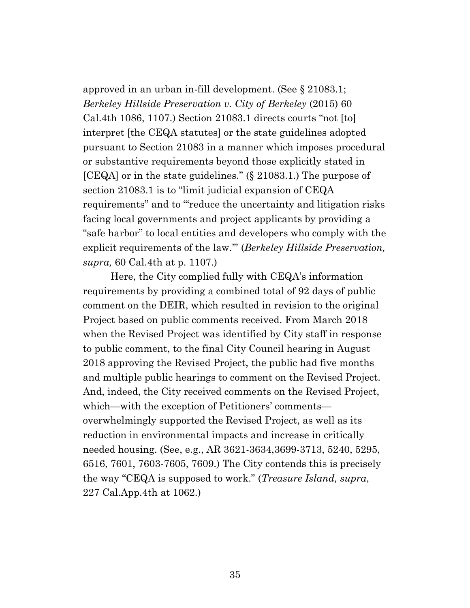approved in an urban in-fill development. (See § 21083.1; *Berkeley Hillside Preservation v. City of Berkeley* (2015) 60 Cal.4th 1086, 1107.) Section 21083.1 directs courts "not [to] interpret [the CEQA statutes] or the state guidelines adopted pursuant to Section 21083 in a manner which imposes procedural or substantive requirements beyond those explicitly stated in [CEQA] or in the state guidelines." (§ 21083.1.) The purpose of section 21083.1 is to "limit judicial expansion of CEQA requirements" and to "'reduce the uncertainty and litigation risks facing local governments and project applicants by providing a "safe harbor" to local entities and developers who comply with the explicit requirements of the law.'" (*Berkeley Hillside Preservation, supra,* 60 Cal.4th at p. 1107.)

Here, the City complied fully with CEQA's information requirements by providing a combined total of 92 days of public comment on the DEIR, which resulted in revision to the original Project based on public comments received. From March 2018 when the Revised Project was identified by City staff in response to public comment, to the final City Council hearing in August 2018 approving the Revised Project, the public had five months and multiple public hearings to comment on the Revised Project. And, indeed, the City received comments on the Revised Project, which—with the exception of Petitioners' comments overwhelmingly supported the Revised Project, as well as its reduction in environmental impacts and increase in critically needed housing. (See, e.g., AR 3621-3634,3699-3713, 5240, 5295, 6516, 7601, 7603-7605, 7609.) The City contends this is precisely the way "CEQA is supposed to work." (*Treasure Island, supra*, 227 Cal.App.4th at 1062.)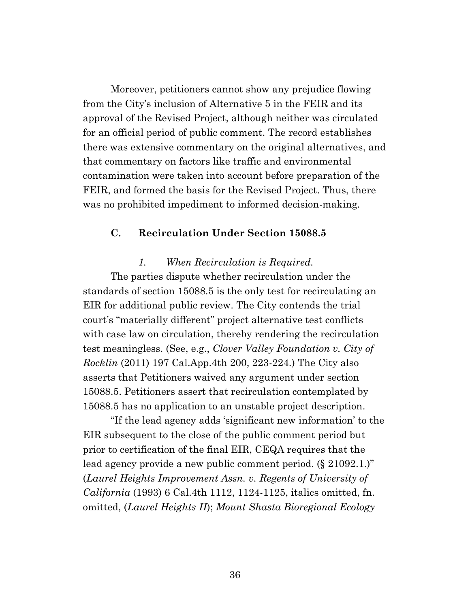Moreover, petitioners cannot show any prejudice flowing from the City's inclusion of Alternative 5 in the FEIR and its approval of the Revised Project, although neither was circulated for an official period of public comment. The record establishes there was extensive commentary on the original alternatives, and that commentary on factors like traffic and environmental contamination were taken into account before preparation of the FEIR, and formed the basis for the Revised Project. Thus, there was no prohibited impediment to informed decision-making.

### **C. Recirculation Under Section 15088.5**

#### *1. When Recirculation is Required.*

The parties dispute whether recirculation under the standards of section 15088.5 is the only test for recirculating an EIR for additional public review. The City contends the trial court's "materially different" project alternative test conflicts with case law on circulation, thereby rendering the recirculation test meaningless. (See, e.g., *Clover Valley Foundation v. City of Rocklin* (2011) 197 Cal.App.4th 200, 223-224.) The City also asserts that Petitioners waived any argument under section 15088.5. Petitioners assert that recirculation contemplated by 15088.5 has no application to an unstable project description.

"If the lead agency adds 'significant new information' to the EIR subsequent to the close of the public comment period but prior to certification of the final EIR, CEQA requires that the lead agency provide a new public comment period. (§ 21092.1.)" (*Laurel Heights Improvement Assn. v. Regents of University of California* (1993) 6 Cal.4th 1112, 1124-1125, italics omitted, fn. omitted, (*Laurel Heights II*); *Mount Shasta Bioregional Ecology*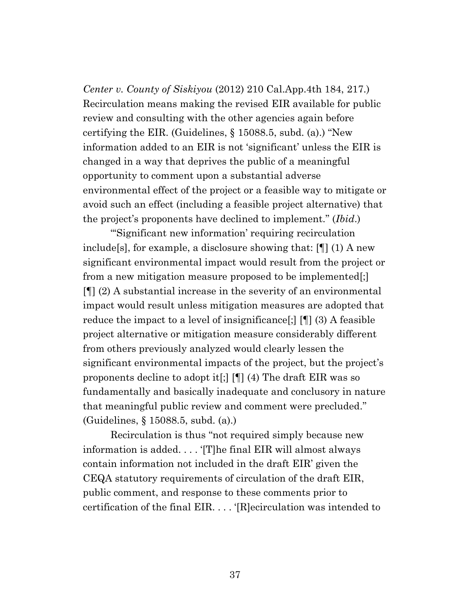*Center v. County of Siskiyou* (2012) 210 Cal.App.4th 184, 217.) Recirculation means making the revised EIR available for public review and consulting with the other agencies again before certifying the EIR. (Guidelines, § 15088.5, subd. (a).) "New information added to an EIR is not 'significant' unless the EIR is changed in a way that deprives the public of a meaningful opportunity to comment upon a substantial adverse environmental effect of the project or a feasible way to mitigate or avoid such an effect (including a feasible project alternative) that the project's proponents have declined to implement." (*Ibid*.)

"'Significant new information' requiring recirculation include[s], for example, a disclosure showing that: [¶] (1) A new significant environmental impact would result from the project or from a new mitigation measure proposed to be implemented[;] [¶] (2) A substantial increase in the severity of an environmental impact would result unless mitigation measures are adopted that reduce the impact to a level of insignificance[;] [¶] (3) A feasible project alternative or mitigation measure considerably different from others previously analyzed would clearly lessen the significant environmental impacts of the project, but the project's proponents decline to adopt it[;] [¶] (4) The draft EIR was so fundamentally and basically inadequate and conclusory in nature that meaningful public review and comment were precluded." (Guidelines, § 15088.5, subd. (a).)

Recirculation is thus "not required simply because new information is added. . . . '[T]he final EIR will almost always contain information not included in the draft EIR' given the CEQA statutory requirements of circulation of the draft EIR, public comment, and response to these comments prior to certification of the final EIR. . . . '[R]ecirculation was intended to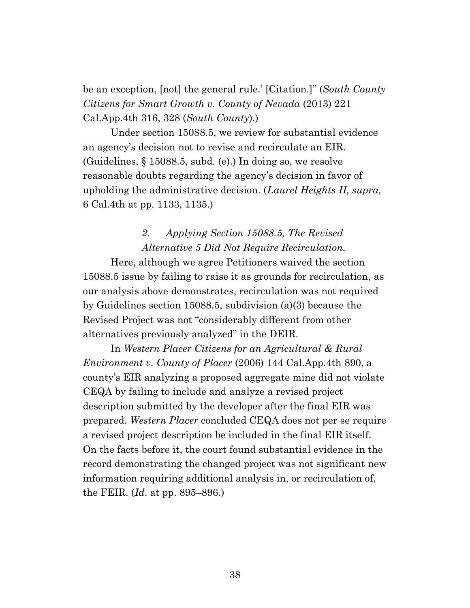be an exception, [not] the general rule.' [Citation.]" (*South County Citizens for Smart Growth v. County of Nevada* (2013) 221 Cal.App.4th 316, 328 (*South County*).)

Under section 15088.5, we review for substantial evidence an agency's decision not to revise and recirculate an EIR. (Guidelines, § 15088.5, subd. (e).) In doing so, we resolve reasonable doubts regarding the agency's decision in favor of upholding the administrative decision. (*Laurel Heights II, supra,*  6 Cal.4th at pp. 1133, 1135.)

## *2. Applying Section 15088.5, The Revised Alternative 5 Did Not Require Recirculation.*

Here, although we agree Petitioners waived the section 15088.5 issue by failing to raise it as grounds for recirculation, as our analysis above demonstrates, recirculation was not required by Guidelines section 15088.5, subdivision (a)(3) because the Revised Project was not "considerably different from other alternatives previously analyzed" in the DEIR.

In *Western Placer Citizens for an Agricultural & Rural Environment v. County of Placer* (2006) 144 Cal.App.4th 890, a county's EIR analyzing a proposed aggregate mine did not violate CEQA by failing to include and analyze a revised project description submitted by the developer after the final EIR was prepared. *Western Placer* concluded CEQA does not per se require a revised project description be included in the final EIR itself. On the facts before it, the court found substantial evidence in the record demonstrating the changed project was not significant new information requiring additional analysis in, or recirculation of, the FEIR. (*Id*. at pp. 895–896.)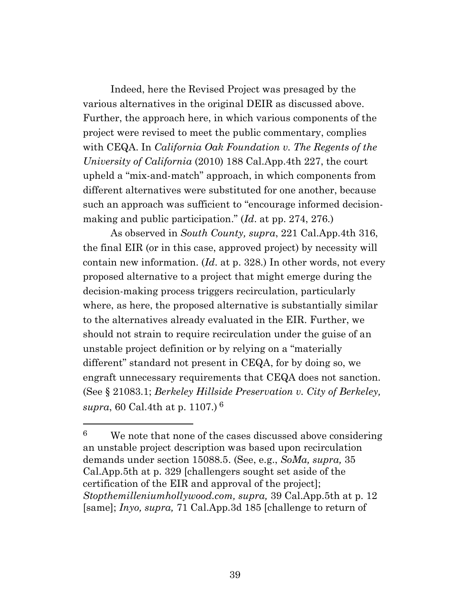Indeed, here the Revised Project was presaged by the various alternatives in the original DEIR as discussed above. Further, the approach here, in which various components of the project were revised to meet the public commentary, complies with CEQA. In *California Oak Foundation v. The Regents of the University of California* (2010) 188 Cal.App.4th 227, the court upheld a "mix-and-match" approach, in which components from different alternatives were substituted for one another, because such an approach was sufficient to "encourage informed decisionmaking and public participation." (*Id*. at pp. 274, 276.)

As observed in *South County, supra*, 221 Cal.App.4th 316, the final EIR (or in this case, approved project) by necessity will contain new information. (*Id*. at p. 328.) In other words, not every proposed alternative to a project that might emerge during the decision-making process triggers recirculation, particularly where, as here, the proposed alternative is substantially similar to the alternatives already evaluated in the EIR. Further, we should not strain to require recirculation under the guise of an unstable project definition or by relying on a "materially different" standard not present in CEQA, for by doing so, we engraft unnecessary requirements that CEQA does not sanction. (See § 21083.1; *Berkeley Hillside Preservation v. City of Berkeley, supra*, 60 Cal.4th at p. 1107.) <sup>6</sup>

 $6$  We note that none of the cases discussed above considering an unstable project description was based upon recirculation demands under section 15088.5. (See, e.g., *SoMa, supra,* 35 Cal.App.5th at p. 329 [challengers sought set aside of the certification of the EIR and approval of the project]; *Stopthemilleniumhollywood.com, supra,* 39 Cal.App.5th at p. 12 [same]; *Inyo, supra,* 71 Cal.App.3d 185 [challenge to return of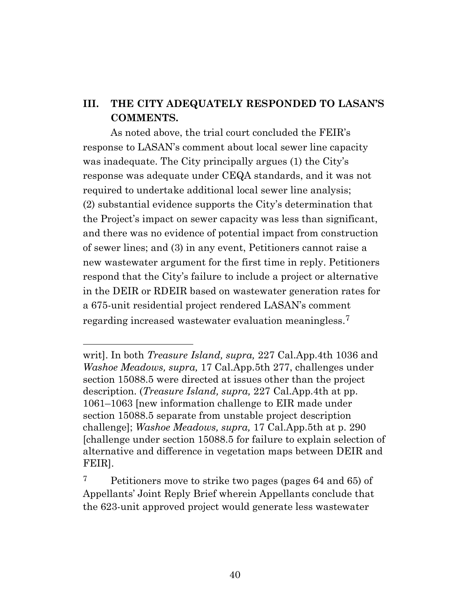## **III. THE CITY ADEQUATELY RESPONDED TO LASAN'S COMMENTS.**

As noted above, the trial court concluded the FEIR's response to LASAN's comment about local sewer line capacity was inadequate. The City principally argues (1) the City's response was adequate under CEQA standards, and it was not required to undertake additional local sewer line analysis; (2) substantial evidence supports the City's determination that the Project's impact on sewer capacity was less than significant, and there was no evidence of potential impact from construction of sewer lines; and (3) in any event, Petitioners cannot raise a new wastewater argument for the first time in reply. Petitioners respond that the City's failure to include a project or alternative in the DEIR or RDEIR based on wastewater generation rates for a 675-unit residential project rendered LASAN's comment regarding increased wastewater evaluation meaningless. 7

<sup>7</sup> Petitioners move to strike two pages (pages 64 and 65) of Appellants' Joint Reply Brief wherein Appellants conclude that the 623-unit approved project would generate less wastewater

writ]. In both *Treasure Island, supra,* 227 Cal.App.4th 1036 and *Washoe Meadows, supra,* 17 Cal.App.5th 277, challenges under section 15088.5 were directed at issues other than the project description. (*Treasure Island, supra,* 227 Cal.App.4th at pp. 1061–1063 [new information challenge to EIR made under section 15088.5 separate from unstable project description challenge]; *Washoe Meadows, supra,* 17 Cal.App.5th at p. 290 [challenge under section 15088.5 for failure to explain selection of alternative and difference in vegetation maps between DEIR and FEIR].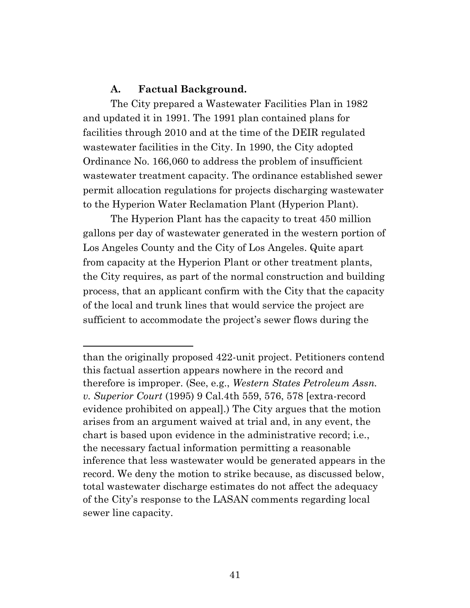### **A. Factual Background.**

The City prepared a Wastewater Facilities Plan in 1982 and updated it in 1991. The 1991 plan contained plans for facilities through 2010 and at the time of the DEIR regulated wastewater facilities in the City. In 1990, the City adopted Ordinance No. 166,060 to address the problem of insufficient wastewater treatment capacity. The ordinance established sewer permit allocation regulations for projects discharging wastewater to the Hyperion Water Reclamation Plant (Hyperion Plant).

The Hyperion Plant has the capacity to treat 450 million gallons per day of wastewater generated in the western portion of Los Angeles County and the City of Los Angeles. Quite apart from capacity at the Hyperion Plant or other treatment plants, the City requires, as part of the normal construction and building process, that an applicant confirm with the City that the capacity of the local and trunk lines that would service the project are sufficient to accommodate the project's sewer flows during the

than the originally proposed 422-unit project. Petitioners contend this factual assertion appears nowhere in the record and therefore is improper. (See, e.g., *Western States Petroleum Assn. v. Superior Court* (1995) 9 Cal.4th 559, 576, 578 [extra-record evidence prohibited on appeal].) The City argues that the motion arises from an argument waived at trial and, in any event, the chart is based upon evidence in the administrative record; i.e., the necessary factual information permitting a reasonable inference that less wastewater would be generated appears in the record. We deny the motion to strike because, as discussed below, total wastewater discharge estimates do not affect the adequacy of the City's response to the LASAN comments regarding local sewer line capacity.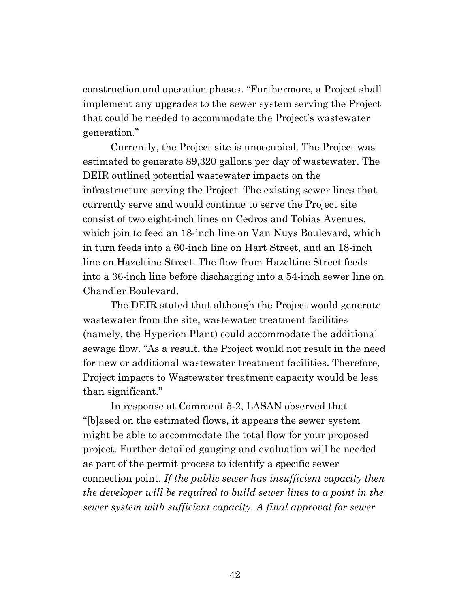construction and operation phases. "Furthermore, a Project shall implement any upgrades to the sewer system serving the Project that could be needed to accommodate the Project's wastewater generation."

Currently, the Project site is unoccupied. The Project was estimated to generate 89,320 gallons per day of wastewater. The DEIR outlined potential wastewater impacts on the infrastructure serving the Project. The existing sewer lines that currently serve and would continue to serve the Project site consist of two eight-inch lines on Cedros and Tobias Avenues, which join to feed an 18-inch line on Van Nuys Boulevard, which in turn feeds into a 60-inch line on Hart Street, and an 18-inch line on Hazeltine Street. The flow from Hazeltine Street feeds into a 36-inch line before discharging into a 54-inch sewer line on Chandler Boulevard.

The DEIR stated that although the Project would generate wastewater from the site, wastewater treatment facilities (namely, the Hyperion Plant) could accommodate the additional sewage flow. "As a result, the Project would not result in the need for new or additional wastewater treatment facilities. Therefore, Project impacts to Wastewater treatment capacity would be less than significant."

In response at Comment 5-2, LASAN observed that "[b]ased on the estimated flows, it appears the sewer system might be able to accommodate the total flow for your proposed project. Further detailed gauging and evaluation will be needed as part of the permit process to identify a specific sewer connection point. *If the public sewer has insufficient capacity then the developer will be required to build sewer lines to a point in the sewer system with sufficient capacity. A final approval for sewer*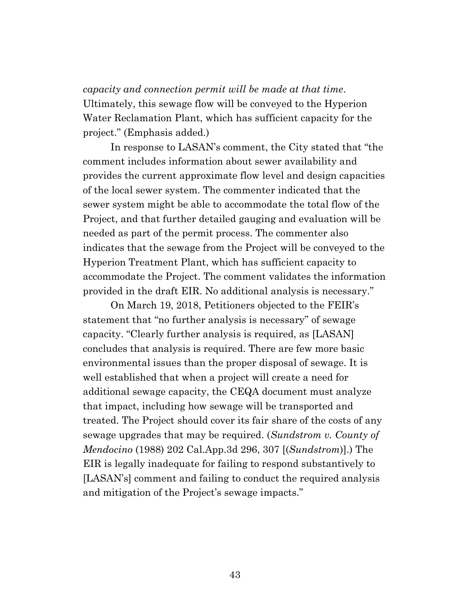*capacity and connection permit will be made at that time*. Ultimately, this sewage flow will be conveyed to the Hyperion Water Reclamation Plant, which has sufficient capacity for the project." (Emphasis added.)

In response to LASAN's comment, the City stated that "the comment includes information about sewer availability and provides the current approximate flow level and design capacities of the local sewer system. The commenter indicated that the sewer system might be able to accommodate the total flow of the Project, and that further detailed gauging and evaluation will be needed as part of the permit process. The commenter also indicates that the sewage from the Project will be conveyed to the Hyperion Treatment Plant, which has sufficient capacity to accommodate the Project. The comment validates the information provided in the draft EIR. No additional analysis is necessary."

On March 19, 2018, Petitioners objected to the FEIR's statement that "no further analysis is necessary" of sewage capacity. "Clearly further analysis is required, as [LASAN] concludes that analysis is required. There are few more basic environmental issues than the proper disposal of sewage. It is well established that when a project will create a need for additional sewage capacity, the CEQA document must analyze that impact, including how sewage will be transported and treated. The Project should cover its fair share of the costs of any sewage upgrades that may be required. (*Sundstrom v. County of Mendocino* (1988) 202 Cal.App.3d 296, 307 [(*Sundstrom*)].) The EIR is legally inadequate for failing to respond substantively to [LASAN's] comment and failing to conduct the required analysis and mitigation of the Project's sewage impacts."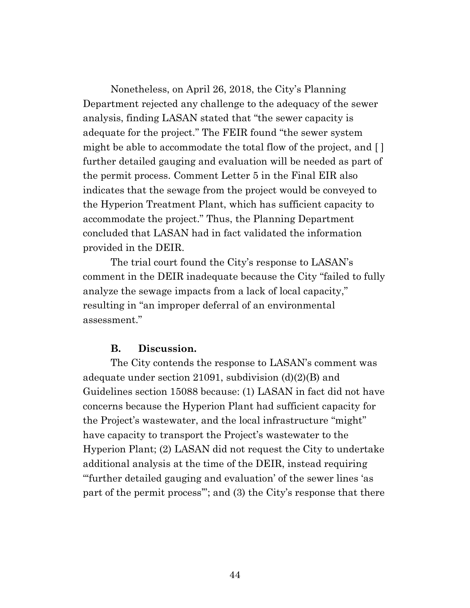Nonetheless, on April 26, 2018, the City's Planning Department rejected any challenge to the adequacy of the sewer analysis, finding LASAN stated that "the sewer capacity is adequate for the project." The FEIR found "the sewer system might be able to accommodate the total flow of the project, and [ ] further detailed gauging and evaluation will be needed as part of the permit process. Comment Letter 5 in the Final EIR also indicates that the sewage from the project would be conveyed to the Hyperion Treatment Plant, which has sufficient capacity to accommodate the project." Thus, the Planning Department concluded that LASAN had in fact validated the information provided in the DEIR.

The trial court found the City's response to LASAN's comment in the DEIR inadequate because the City "failed to fully analyze the sewage impacts from a lack of local capacity," resulting in "an improper deferral of an environmental assessment."

### **B. Discussion.**

The City contends the response to LASAN's comment was adequate under section 21091, subdivision (d)(2)(B) and Guidelines section 15088 because: (1) LASAN in fact did not have concerns because the Hyperion Plant had sufficient capacity for the Project's wastewater, and the local infrastructure "might" have capacity to transport the Project's wastewater to the Hyperion Plant; (2) LASAN did not request the City to undertake additional analysis at the time of the DEIR, instead requiring "'further detailed gauging and evaluation' of the sewer lines 'as part of the permit process'"; and (3) the City's response that there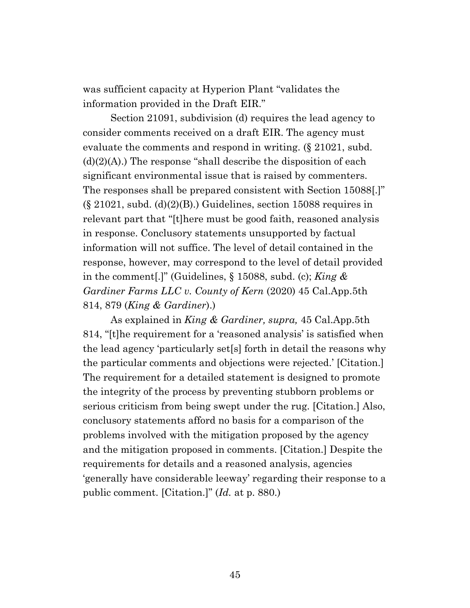was sufficient capacity at Hyperion Plant "validates the information provided in the Draft EIR."

Section 21091, subdivision (d) requires the lead agency to consider comments received on a draft EIR. The agency must evaluate the comments and respond in writing. (§ 21021, subd.  $(d)(2)(A)$ .) The response "shall describe the disposition of each significant environmental issue that is raised by commenters. The responses shall be prepared consistent with Section 15088[.]"  $(\S 21021, \text{subd.} (d)(2)(B))$ . Guidelines, section 15088 requires in relevant part that "[t]here must be good faith, reasoned analysis in response. Conclusory statements unsupported by factual information will not suffice. The level of detail contained in the response, however, may correspond to the level of detail provided in the comment[.]" (Guidelines, § 15088, subd. (c); *King & Gardiner Farms LLC v. County of Kern* (2020) 45 Cal.App.5th 814, 879 (*King & Gardiner*).)

As explained in *King & Gardiner, supra,* 45 Cal.App.5th 814, "[t]he requirement for a 'reasoned analysis' is satisfied when the lead agency 'particularly set[s] forth in detail the reasons why the particular comments and objections were rejected.' [Citation.] The requirement for a detailed statement is designed to promote the integrity of the process by preventing stubborn problems or serious criticism from being swept under the rug. [Citation.] Also, conclusory statements afford no basis for a comparison of the problems involved with the mitigation proposed by the agency and the mitigation proposed in comments. [Citation.] Despite the requirements for details and a reasoned analysis, agencies 'generally have considerable leeway' regarding their response to a public comment. [Citation.]" (*Id.* at p. 880.)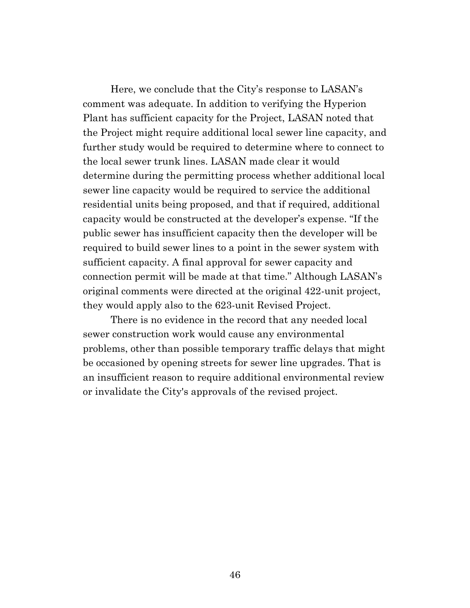Here, we conclude that the City's response to LASAN's comment was adequate. In addition to verifying the Hyperion Plant has sufficient capacity for the Project, LASAN noted that the Project might require additional local sewer line capacity, and further study would be required to determine where to connect to the local sewer trunk lines. LASAN made clear it would determine during the permitting process whether additional local sewer line capacity would be required to service the additional residential units being proposed, and that if required, additional capacity would be constructed at the developer's expense. "If the public sewer has insufficient capacity then the developer will be required to build sewer lines to a point in the sewer system with sufficient capacity. A final approval for sewer capacity and connection permit will be made at that time." Although LASAN's original comments were directed at the original 422-unit project, they would apply also to the 623-unit Revised Project.

There is no evidence in the record that any needed local sewer construction work would cause any environmental problems, other than possible temporary traffic delays that might be occasioned by opening streets for sewer line upgrades. That is an insufficient reason to require additional environmental review or invalidate the City's approvals of the revised project.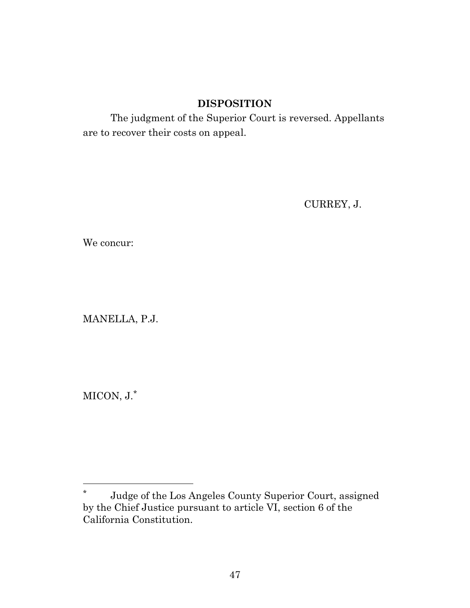## **DISPOSITION**

The judgment of the Superior Court is reversed. Appellants are to recover their costs on appeal.

CURREY, J.

We concur:

MANELLA, P.J.

MICON, J.\*

<sup>\*</sup> Judge of the Los Angeles County Superior Court, assigned by the Chief Justice pursuant to article VI, section 6 of the California Constitution.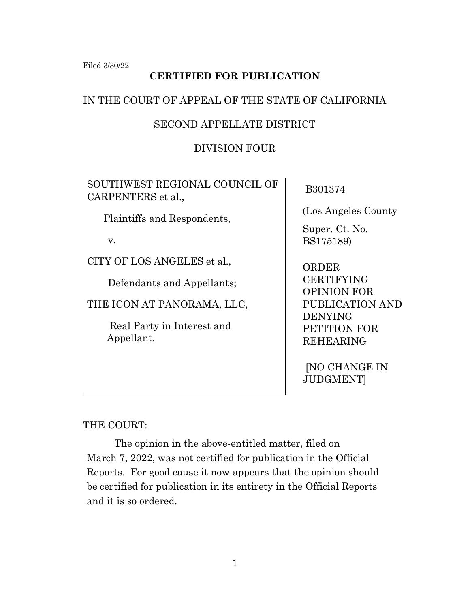Filed 3/30/22

#### **CERTIFIED FOR PUBLICATION**

### IN THE COURT OF APPEAL OF THE STATE OF CALIFORNIA

#### SECOND APPELLATE DISTRICT

#### DIVISION FOUR

SOUTHWEST REGIONAL COUNCIL OF CARPENTERS et al.,

Plaintiffs and Respondents,

v.

CITY OF LOS ANGELES et al.,

Defendants and Appellants;

THE ICON AT PANORAMA, LLC,

Real Party in Interest and Appellant.

B301374

(Los Angeles County

Super. Ct. No. BS175189)

ORDER CERTIFYING OPINION FOR PUBLICATION AND DENYING PETITION FOR REHEARING

[NO CHANGE IN JUDGMENT]

### THE COURT:

The opinion in the above-entitled matter, filed on March 7, 2022, was not certified for publication in the Official Reports. For good cause it now appears that the opinion should be certified for publication in its entirety in the Official Reports and it is so ordered.